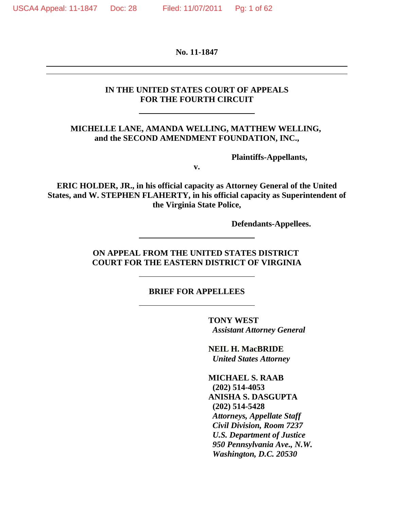**No. 11-1847**

#### **IN THE UNITED STATES COURT OF APPEALS FOR THE FOURTH CIRCUIT**

#### **MICHELLE LANE, AMANDA WELLING, MATTHEW WELLING, and the SECOND AMENDMENT FOUNDATION, INC.,**

**Plaintiffs-Appellants,**

**v.**

**ERIC HOLDER, JR., in his official capacity as Attorney General of the United States, and W. STEPHEN FLAHERTY, in his official capacity as Superintendent of the Virginia State Police,**

**Defendants-Appellees.**

#### **ON APPEAL FROM THE UNITED STATES DISTRICT COURT FOR THE EASTERN DISTRICT OF VIRGINIA**

#### **BRIEF FOR APPELLEES**

**TONY WEST** *Assistant Attorney General*

**NEIL H. MacBRIDE** *United States Attorney*

**MICHAEL S. RAAB (202) 514-4053 ANISHA S. DASGUPTA (202) 514-5428** *Attorneys, Appellate Staff* *Civil Division, Room 7237* *U.S. Department of Justice* *950 Pennsylvania Ave., N.W.* *Washington, D.C. 20530*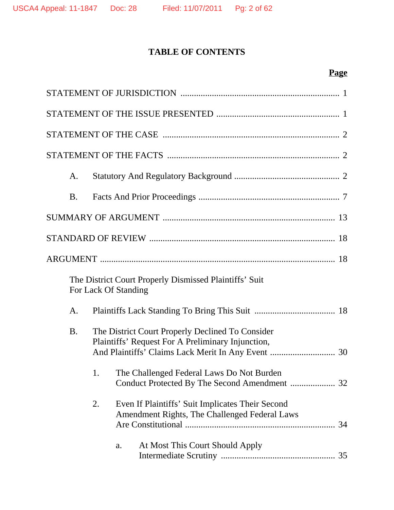# **TABLE OF CONTENTS**

# **Page**

| A.        |    |                                                                                                       |
|-----------|----|-------------------------------------------------------------------------------------------------------|
| <b>B.</b> |    |                                                                                                       |
|           |    |                                                                                                       |
|           |    |                                                                                                       |
|           |    |                                                                                                       |
|           |    | The District Court Properly Dismissed Plaintiffs' Suit<br>For Lack Of Standing                        |
| A.        |    |                                                                                                       |
| <b>B.</b> |    | The District Court Properly Declined To Consider<br>Plaintiffs' Request For A Preliminary Injunction, |
|           | 1. | The Challenged Federal Laws Do Not Burden                                                             |
|           | 2. | Even If Plaintiffs' Suit Implicates Their Second<br>Amendment Rights, The Challenged Federal Laws     |
|           |    | At Most This Court Should Apply<br>a.                                                                 |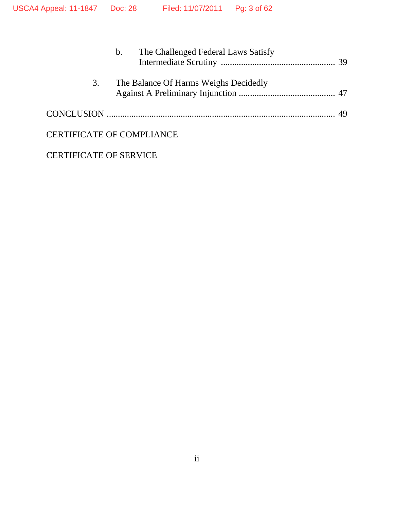|                                  | $\mathbf{b}$ . | The Challenged Federal Laws Satisfy   |  |
|----------------------------------|----------------|---------------------------------------|--|
| 3.                               |                | The Balance Of Harms Weighs Decidedly |  |
|                                  |                |                                       |  |
| <b>CERTIFICATE OF COMPLIANCE</b> |                |                                       |  |

CERTIFICATE OF SERVICE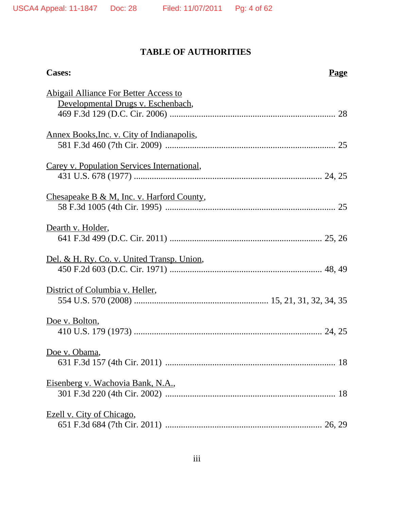# **TABLE OF AUTHORITIES**

| <b>Cases:</b>                                                                      | <b>Page</b> |
|------------------------------------------------------------------------------------|-------------|
| <b>Abigail Alliance For Better Access to</b><br>Developmental Drugs v. Eschenbach, |             |
| <u>Annex Books, Inc. v. City of Indianapolis,</u>                                  |             |
| Carey v. Population Services International,                                        |             |
| Chesapeake B & M, Inc. v. Harford County,                                          |             |
| Dearth v. Holder,                                                                  |             |
| Del. & H. Ry. Co. v. United Transp. Union,                                         |             |
| District of Columbia v. Heller,                                                    |             |
| Doe v. Bolton,                                                                     |             |
| Doe v. Obama,                                                                      |             |
| <u>Eisenberg v. Wachovia Bank, N.A.,</u>                                           |             |
| Ezell v. City of Chicago,                                                          |             |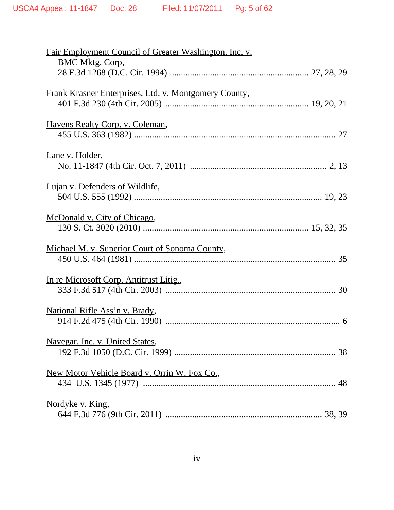| <b>Fair Employment Council of Greater Washington, Inc. v.</b> |
|---------------------------------------------------------------|
| <b>BMC Mktg. Corp,</b>                                        |
|                                                               |
|                                                               |
| Frank Krasner Enterprises, Ltd. v. Montgomery County,         |
|                                                               |
|                                                               |
| Havens Realty Corp. v. Coleman,                               |
|                                                               |
|                                                               |
| Lane v. Holder,                                               |
|                                                               |
|                                                               |
| Lujan v. Defenders of Wildlife,                               |
|                                                               |
| McDonald v. City of Chicago,                                  |
|                                                               |
|                                                               |
| Michael M. v. Superior Court of Sonoma County,                |
|                                                               |
|                                                               |
| In re Microsoft Corp. Antitrust Litig.,                       |
|                                                               |
|                                                               |
| <u>National Rifle Ass'n v. Brady</u> ,                        |
|                                                               |
|                                                               |
| <u>Navegar, Inc. v. United States,</u>                        |
|                                                               |
|                                                               |
| New Motor Vehicle Board v. Orrin W. Fox Co.,                  |
|                                                               |
|                                                               |
| Nordyke v. King,                                              |
|                                                               |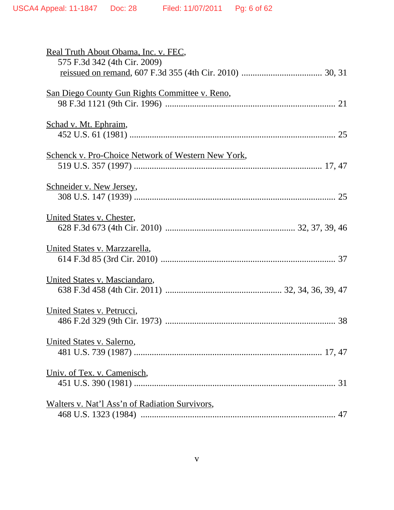| Real Truth About Obama, Inc. v. FEC,                      |
|-----------------------------------------------------------|
| 575 F.3d 342 (4th Cir. 2009)                              |
|                                                           |
| <u>San Diego County Gun Rights Committee v. Reno,</u>     |
|                                                           |
|                                                           |
| Schad v. Mt. Ephraim,                                     |
|                                                           |
|                                                           |
| <b>Schenck v. Pro-Choice Network of Western New York,</b> |
|                                                           |
|                                                           |
| Schneider v. New Jersey,                                  |
|                                                           |
| United States v. Chester,                                 |
|                                                           |
|                                                           |
| United States v. Marzzarella,                             |
|                                                           |
|                                                           |
| United States v. Masciandaro,                             |
|                                                           |
|                                                           |
| United States v. Petrucci,                                |
|                                                           |
|                                                           |
| United States v. Salerno,                                 |
|                                                           |
| Univ. of Tex. v. Camenisch,                               |
|                                                           |
|                                                           |
| <u>Walters v. Nat'l Ass'n of Radiation Survivors,</u>     |
|                                                           |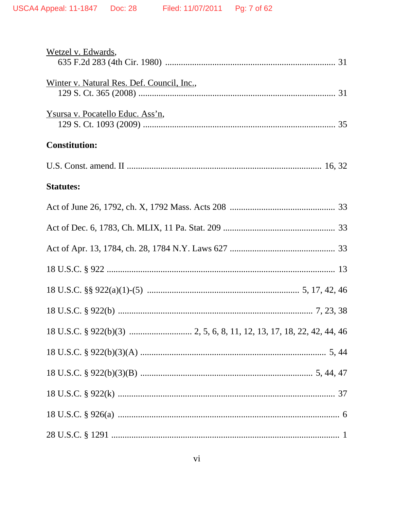| Wetzel v. Edwards,                         |
|--------------------------------------------|
| Winter v. Natural Res. Def. Council, Inc., |
| <u>Ysursa v. Pocatello Educ. Ass'n,</u>    |
| <b>Constitution:</b>                       |
|                                            |
| <b>Statutes:</b>                           |
|                                            |
|                                            |
|                                            |
|                                            |
|                                            |
|                                            |
|                                            |
|                                            |
|                                            |
|                                            |
|                                            |
|                                            |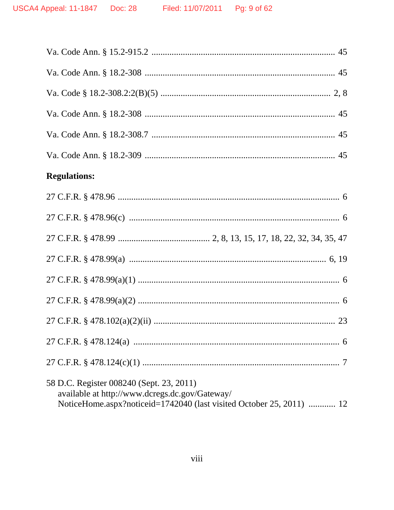| <b>Regulations:</b>                                                                                                                                                |
|--------------------------------------------------------------------------------------------------------------------------------------------------------------------|
|                                                                                                                                                                    |
|                                                                                                                                                                    |
|                                                                                                                                                                    |
|                                                                                                                                                                    |
|                                                                                                                                                                    |
|                                                                                                                                                                    |
|                                                                                                                                                                    |
|                                                                                                                                                                    |
|                                                                                                                                                                    |
| 58 D.C. Register 008240 (Sept. 23, 2011)<br>available at http://www.dcregs.dc.gov/Gateway/<br>NoticeHome.aspx?noticeid=1742040 (last visited October 25, 2011)  12 |
|                                                                                                                                                                    |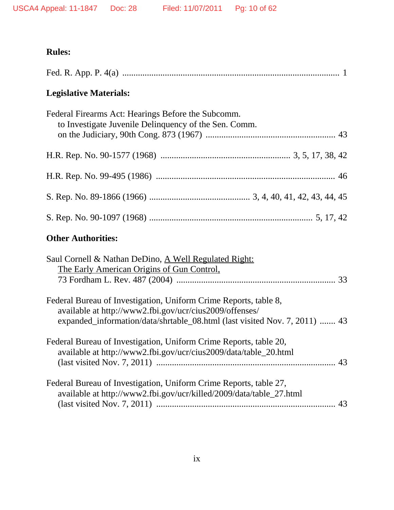# **Rules:**

| <b>Legislative Materials:</b>                                                                               |
|-------------------------------------------------------------------------------------------------------------|
| Federal Firearms Act: Hearings Before the Subcomm.<br>to Investigate Juvenile Delinquency of the Sen. Comm. |
|                                                                                                             |
|                                                                                                             |
|                                                                                                             |
|                                                                                                             |
| <b>Other Authorities:</b>                                                                                   |
| Saul Cornell & Nathan DeDino $\Delta$ Well Requilated Right:                                                |

| Saul Cornell & Nathan DeDino, A Well Regulated Right:                                                                       |  |
|-----------------------------------------------------------------------------------------------------------------------------|--|
| The Early American Origins of Gun Control,                                                                                  |  |
|                                                                                                                             |  |
| Federal Bureau of Investigation, Uniform Crime Reports, table 8,<br>available at http://www2.fbi.gov/ucr/cius2009/offenses/ |  |
| expanded_information/data/shrtable_08.html (last visited Nov. 7, 2011)  43                                                  |  |
| Federal Bureau of Investigation, Uniform Crime Reports, table 20,                                                           |  |
| available at http://www2.fbi.gov/ucr/cius2009/data/table_20.html                                                            |  |
|                                                                                                                             |  |
| Federal Bureau of Investigation, Uniform Crime Reports, table 27,                                                           |  |
| available at http://www2.fbi.gov/ucr/killed/2009/data/table_27.html                                                         |  |
|                                                                                                                             |  |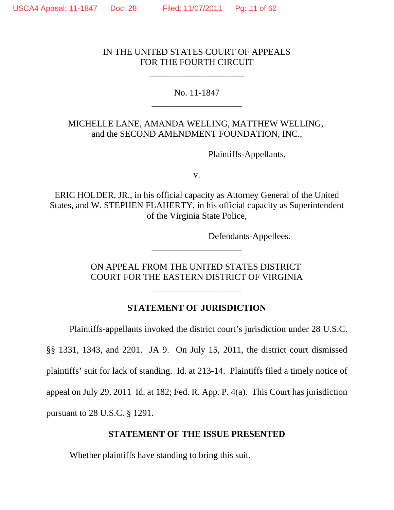## IN THE UNITED STATES COURT OF APPEALS FOR THE FOURTH CIRCUIT

\_\_\_\_\_\_\_\_\_\_\_\_\_\_\_\_\_\_\_\_\_

## No. 11-1847 \_\_\_\_\_\_\_\_\_\_\_\_\_\_\_\_\_\_\_\_

## MICHELLE LANE, AMANDA WELLING, MATTHEW WELLING, and the SECOND AMENDMENT FOUNDATION, INC.,

Plaintiffs-Appellants,

v.

ERIC HOLDER, JR., in his official capacity as Attorney General of the United States, and W. STEPHEN FLAHERTY, in his official capacity as Superintendent of the Virginia State Police,

Defendants-Appellees.

ON APPEAL FROM THE UNITED STATES DISTRICT COURT FOR THE EASTERN DISTRICT OF VIRGINIA

\_\_\_\_\_\_\_\_\_\_\_\_\_\_\_\_\_\_\_\_

\_\_\_\_\_\_\_\_\_\_\_\_\_\_\_\_\_\_\_\_

## **STATEMENT OF JURISDICTION**

Plaintiffs-appellants invoked the district court's jurisdiction under 28 U.S.C.

§§ 1331, 1343, and 2201. JA 9. On July 15, 2011, the district court dismissed plaintiffs' suit for lack of standing. Id. at 213-14. Plaintiffs filed a timely notice of appeal on July 29, 2011 Id. at 182; Fed. R. App. P.  $4(a)$ . This Court has jurisdiction pursuant to 28 U.S.C. § 1291.

#### **STATEMENT OF THE ISSUE PRESENTED**

Whether plaintiffs have standing to bring this suit.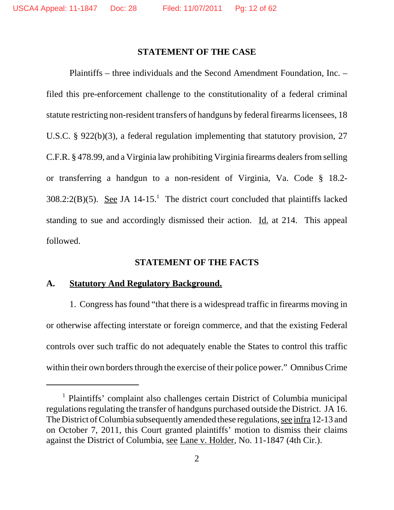#### **STATEMENT OF THE CASE**

Plaintiffs – three individuals and the Second Amendment Foundation, Inc. – filed this pre-enforcement challenge to the constitutionality of a federal criminal statute restricting non-resident transfers of handguns by federal firearms licensees, 18 U.S.C. § 922(b)(3), a federal regulation implementing that statutory provision, 27 C.F.R. § 478.99, and a Virginia law prohibiting Virginia firearms dealers from selling or transferring a handgun to a non-resident of Virginia, Va. Code § 18.2-  $308.2:2(B)(5)$ . See JA 14-15.<sup>1</sup> The district court concluded that plaintiffs lacked standing to sue and accordingly dismissed their action. Id. at 214. This appeal followed.

#### **STATEMENT OF THE FACTS**

#### **A. Statutory And Regulatory Background.**

1. Congress has found "that there is a widespread traffic in firearms moving in or otherwise affecting interstate or foreign commerce, and that the existing Federal controls over such traffic do not adequately enable the States to control this traffic within their own borders through the exercise of their police power." Omnibus Crime

<sup>&</sup>lt;sup>1</sup> Plaintiffs' complaint also challenges certain District of Columbia municipal regulations regulating the transfer of handguns purchased outside the District. JA 16. The District of Columbia subsequently amended these regulations, see infra 12-13 and on October 7, 2011, this Court granted plaintiffs' motion to dismiss their claims against the District of Columbia, see Lane v. Holder, No. 11-1847 (4th Cir.).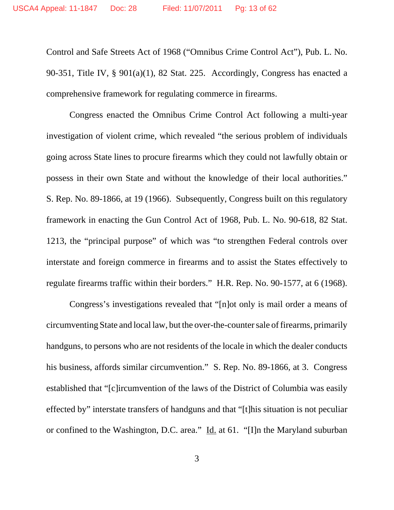Control and Safe Streets Act of 1968 ("Omnibus Crime Control Act"), Pub. L. No. 90-351, Title IV, § 901(a)(1), 82 Stat. 225. Accordingly, Congress has enacted a comprehensive framework for regulating commerce in firearms.

Congress enacted the Omnibus Crime Control Act following a multi-year investigation of violent crime, which revealed "the serious problem of individuals going across State lines to procure firearms which they could not lawfully obtain or possess in their own State and without the knowledge of their local authorities." S. Rep. No. 89-1866, at 19 (1966). Subsequently, Congress built on this regulatory framework in enacting the Gun Control Act of 1968, Pub. L. No. 90-618, 82 Stat. 1213, the "principal purpose" of which was "to strengthen Federal controls over interstate and foreign commerce in firearms and to assist the States effectively to regulate firearms traffic within their borders." H.R. Rep. No. 90-1577, at 6 (1968).

Congress's investigations revealed that "[n]ot only is mail order a means of circumventing State and local law, but the over-the-counter sale of firearms, primarily handguns, to persons who are not residents of the locale in which the dealer conducts his business, affords similar circumvention." S. Rep. No. 89-1866, at 3. Congress established that "[c]ircumvention of the laws of the District of Columbia was easily effected by" interstate transfers of handguns and that "[t]his situation is not peculiar or confined to the Washington, D.C. area." Id. at 61. "[I]n the Maryland suburban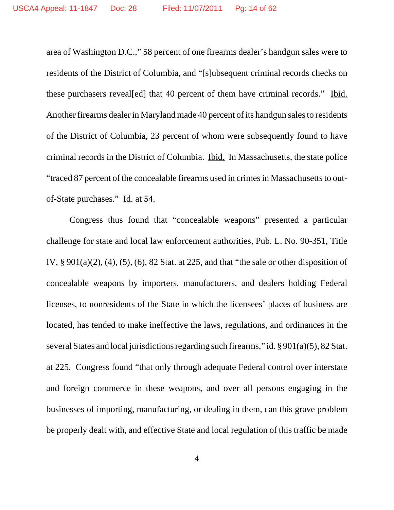area of Washington D.C.," 58 percent of one firearms dealer's handgun sales were to residents of the District of Columbia, and "[s]ubsequent criminal records checks on these purchasers reveal[ed] that 40 percent of them have criminal records." Ibid. Another firearms dealer in Maryland made 40 percent of its handgun sales to residents of the District of Columbia, 23 percent of whom were subsequently found to have criminal records in the District of Columbia. Ibid, In Massachusetts, the state police "traced 87 percent of the concealable firearms used in crimes in Massachusetts to outof-State purchases." Id. at 54.

Congress thus found that "concealable weapons" presented a particular challenge for state and local law enforcement authorities, Pub. L. No. 90-351, Title IV, § 901(a)(2), (4), (5), (6), 82 Stat. at 225, and that "the sale or other disposition of concealable weapons by importers, manufacturers, and dealers holding Federal licenses, to nonresidents of the State in which the licensees' places of business are located, has tended to make ineffective the laws, regulations, and ordinances in the several States and local jurisdictions regarding such firearms," id. § 901(a)(5), 82 Stat. at 225. Congress found "that only through adequate Federal control over interstate and foreign commerce in these weapons, and over all persons engaging in the businesses of importing, manufacturing, or dealing in them, can this grave problem be properly dealt with, and effective State and local regulation of this traffic be made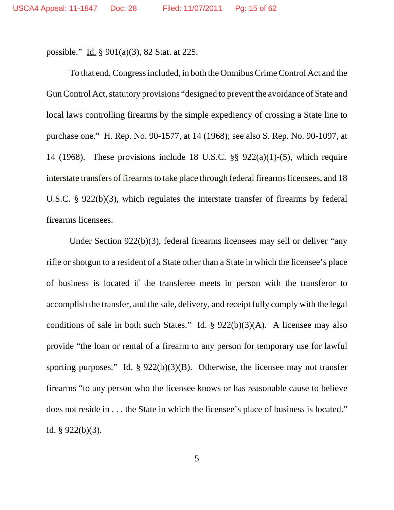possible." Id. § 901(a)(3), 82 Stat. at 225.

To that end, Congress included, in both the Omnibus Crime Control Act and the Gun Control Act, statutory provisions "designed to prevent the avoidance of State and local laws controlling firearms by the simple expediency of crossing a State line to purchase one." H. Rep. No. 90-1577, at 14 (1968); see also S. Rep. No. 90-1097, at 14 (1968). These provisions include 18 U.S.C.  $\S$ § 922(a)(1)-(5), which require interstate transfers of firearms to take place through federal firearms licensees, and 18 U.S.C. § 922(b)(3), which regulates the interstate transfer of firearms by federal firearms licensees.

Under Section 922(b)(3), federal firearms licensees may sell or deliver "any rifle or shotgun to a resident of a State other than a State in which the licensee's place of business is located if the transferee meets in person with the transferor to accomplish the transfer, and the sale, delivery, and receipt fully comply with the legal conditions of sale in both such States." Id. §  $922(b)(3)(A)$ . A licensee may also provide "the loan or rental of a firearm to any person for temporary use for lawful sporting purposes." Id. § 922(b)(3)(B). Otherwise, the licensee may not transfer firearms "to any person who the licensee knows or has reasonable cause to believe does not reside in . . . the State in which the licensee's place of business is located." Id.  $§$  922(b)(3).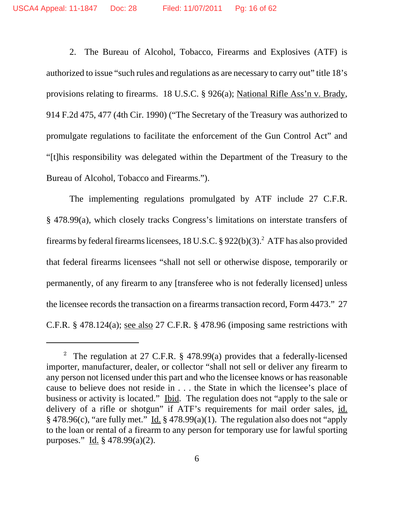2. The Bureau of Alcohol, Tobacco, Firearms and Explosives (ATF) is authorized to issue "such rules and regulations as are necessary to carry out" title 18's provisions relating to firearms. 18 U.S.C. § 926(a); National Rifle Ass'n v. Brady, 914 F.2d 475, 477 (4th Cir. 1990) ("The Secretary of the Treasury was authorized to promulgate regulations to facilitate the enforcement of the Gun Control Act" and "[t]his responsibility was delegated within the Department of the Treasury to the Bureau of Alcohol, Tobacco and Firearms.").

The implementing regulations promulgated by ATF include 27 C.F.R. § 478.99(a), which closely tracks Congress's limitations on interstate transfers of firearms by federal firearms licensees, 18 U.S.C.  $\S 922(b)(3)$ .<sup>2</sup> ATF has also provided that federal firearms licensees "shall not sell or otherwise dispose, temporarily or permanently, of any firearm to any [transferee who is not federally licensed] unless the licensee records the transaction on a firearms transaction record, Form 4473." 27 C.F.R. § 478.124(a); see also 27 C.F.R. § 478.96 (imposing same restrictions with

<sup>&</sup>lt;sup>2</sup> The regulation at 27 C.F.R.  $\S$  478.99(a) provides that a federally-licensed importer, manufacturer, dealer, or collector "shall not sell or deliver any firearm to any person not licensed under this part and who the licensee knows or has reasonable cause to believe does not reside in . . . the State in which the licensee's place of business or activity is located." Ibid.The regulation does not "apply to the sale or delivery of a rifle or shotgun" if ATF's requirements for mail order sales, id.  $§$  478.96(c), "are fully met." Id.  $§$  478.99(a)(1). The regulation also does not "apply to the loan or rental of a firearm to any person for temporary use for lawful sporting purposes." Id.  $\frac{3}{7}$  478.99(a)(2).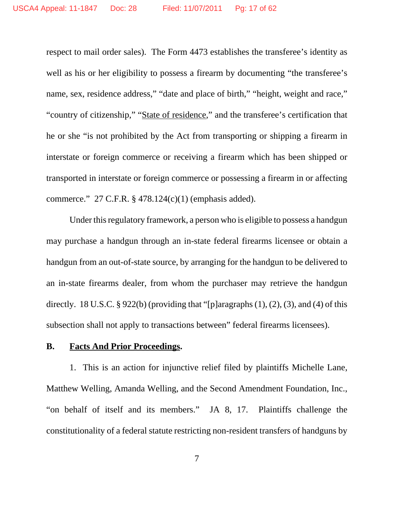respect to mail order sales). The Form 4473 establishes the transferee's identity as well as his or her eligibility to possess a firearm by documenting "the transferee's name, sex, residence address," "date and place of birth," "height, weight and race," "country of citizenship," "State of residence," and the transferee's certification that he or she "is not prohibited by the Act from transporting or shipping a firearm in interstate or foreign commerce or receiving a firearm which has been shipped or transported in interstate or foreign commerce or possessing a firearm in or affecting commerce." 27 C.F.R. § 478.124(c)(1) (emphasis added).

Under this regulatory framework, a person who is eligible to possess a handgun may purchase a handgun through an in-state federal firearms licensee or obtain a handgun from an out-of-state source, by arranging for the handgun to be delivered to an in-state firearms dealer, from whom the purchaser may retrieve the handgun directly. 18 U.S.C. § 922(b) (providing that "[p]aragraphs  $(1)$ ,  $(2)$ ,  $(3)$ , and  $(4)$  of this subsection shall not apply to transactions between" federal firearms licensees).

#### **B. Facts And Prior Proceedings.**

1.This is an action for injunctive relief filed by plaintiffs Michelle Lane, Matthew Welling, Amanda Welling, and the Second Amendment Foundation, Inc., "on behalf of itself and its members." JA 8, 17. Plaintiffs challenge the constitutionality of a federal statute restricting non-resident transfers of handguns by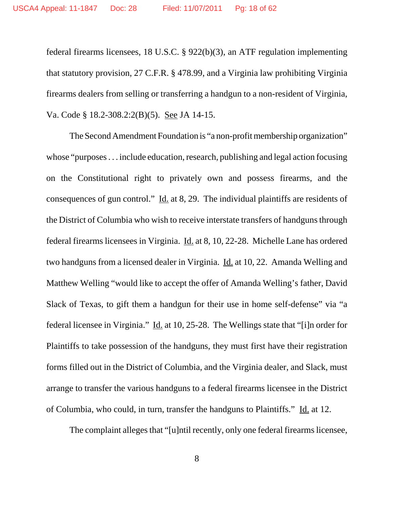federal firearms licensees, 18 U.S.C. § 922(b)(3), an ATF regulation implementing that statutory provision, 27 C.F.R. § 478.99, and a Virginia law prohibiting Virginia firearms dealers from selling or transferring a handgun to a non-resident of Virginia, Va. Code § 18.2-308.2:2(B)(5). See JA 14-15.

The Second Amendment Foundation is "a non-profit membership organization" whose "purposes... include education, research, publishing and legal action focusing on the Constitutional right to privately own and possess firearms, and the consequences of gun control." Id. at 8, 29. The individual plaintiffs are residents of the District of Columbia who wish to receive interstate transfers of handgunsthrough federal firearms licensees in Virginia. Id. at 8, 10, 22-28. Michelle Lane has ordered two handguns from a licensed dealer in Virginia. Id. at 10, 22. Amanda Welling and Matthew Welling "would like to accept the offer of Amanda Welling's father, David Slack of Texas, to gift them a handgun for their use in home self-defense" via "a federal licensee in Virginia." Id. at 10, 25-28. The Wellings state that "[i]n order for Plaintiffs to take possession of the handguns, they must first have their registration forms filled out in the District of Columbia, and the Virginia dealer, and Slack, must arrange to transfer the various handguns to a federal firearms licensee in the District of Columbia, who could, in turn, transfer the handguns to Plaintiffs." Id. at 12.

The complaint alleges that "[u]ntil recently, only one federal firearms licensee,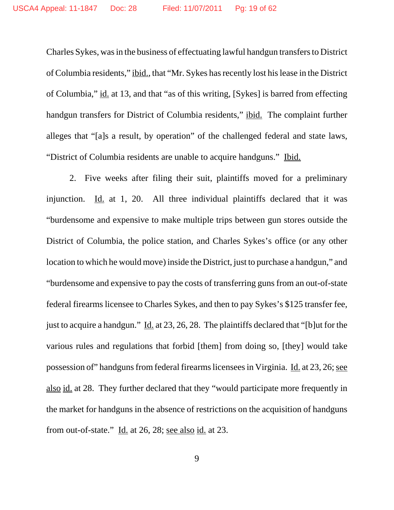Charles Sykes, was in the business of effectuating lawful handgun transfers to District of Columbia residents," ibid., that "Mr. Sykes has recently lost his lease in the District of Columbia," id. at 13, and that "as of this writing, [Sykes] is barred from effecting handgun transfers for District of Columbia residents," ibid. The complaint further alleges that "[a]s a result, by operation" of the challenged federal and state laws, "District of Columbia residents are unable to acquire handguns." Ibid.

2. Five weeks after filing their suit, plaintiffs moved for a preliminary injunction. Id. at 1, 20. All three individual plaintiffs declared that it was "burdensome and expensive to make multiple trips between gun stores outside the District of Columbia, the police station, and Charles Sykes's office (or any other location to which he would move) inside the District, just to purchase a handgun," and "burdensome and expensive to pay the costs of transferring guns from an out-of-state federal firearms licensee to Charles Sykes, and then to pay Sykes's \$125 transfer fee, just to acquire a handgun." Id. at 23, 26, 28. The plaintiffs declared that "[b]ut for the various rules and regulations that forbid [them] from doing so, [they] would take possession of" handguns from federal firearms licensees in Virginia. Id. at 23, 26; see also id. at 28. They further declared that they "would participate more frequently in the market for handguns in the absence of restrictions on the acquisition of handguns from out-of-state." Id. at 26, 28; see also id. at 23.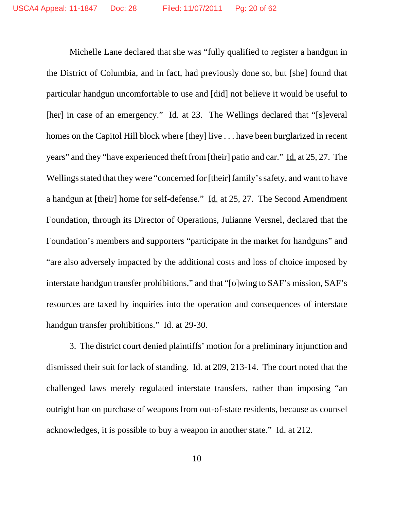Michelle Lane declared that she was "fully qualified to register a handgun in the District of Columbia, and in fact, had previously done so, but [she] found that particular handgun uncomfortable to use and [did] not believe it would be useful to [her] in case of an emergency." Id. at 23. The Wellings declared that "[s]everal homes on the Capitol Hill block where [they] live . . . have been burglarized in recent years" and they "have experienced theft from [their] patio and car." Id. at 25, 27. The Wellings stated that they were "concerned for [their] family's safety, and want to have a handgun at [their] home for self-defense." Id. at 25, 27. The Second Amendment Foundation, through its Director of Operations, Julianne Versnel, declared that the Foundation's members and supporters "participate in the market for handguns" and "are also adversely impacted by the additional costs and loss of choice imposed by interstate handgun transfer prohibitions," and that "[o]wing to SAF's mission, SAF's resources are taxed by inquiries into the operation and consequences of interstate handgun transfer prohibitions." Id. at 29-30.

3. The district court denied plaintiffs' motion for a preliminary injunction and dismissed their suit for lack of standing. Id. at 209, 213-14. The court noted that the challenged laws merely regulated interstate transfers, rather than imposing "an outright ban on purchase of weapons from out-of-state residents, because as counsel acknowledges, it is possible to buy a weapon in another state." Id. at 212.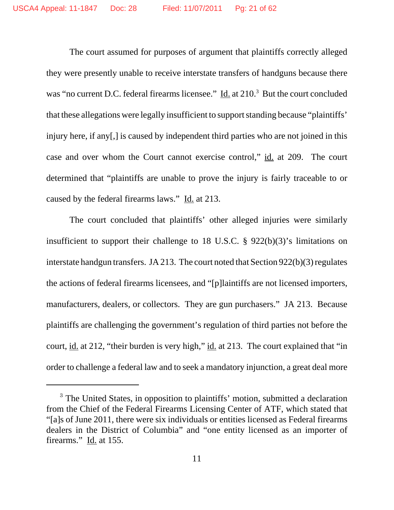The court assumed for purposes of argument that plaintiffs correctly alleged they were presently unable to receive interstate transfers of handguns because there was "no current D.C. federal firearms licensee." Id. at 210.<sup>3</sup> But the court concluded that these allegations were legally insufficient to support standing because "plaintiffs' injury here, if any[,] is caused by independent third parties who are not joined in this case and over whom the Court cannot exercise control," id. at 209. The court determined that "plaintiffs are unable to prove the injury is fairly traceable to or caused by the federal firearms laws." Id. at 213.

The court concluded that plaintiffs' other alleged injuries were similarly insufficient to support their challenge to 18 U.S.C. § 922(b)(3)'s limitations on interstate handgun transfers. JA 213. The court noted that Section 922(b)(3) regulates the actions of federal firearms licensees, and "[p]laintiffs are not licensed importers, manufacturers, dealers, or collectors. They are gun purchasers." JA 213. Because plaintiffs are challenging the government's regulation of third parties not before the court, id. at 212, "their burden is very high," id. at 213. The court explained that "in order to challenge a federal law and to seek a mandatory injunction, a great deal more

<sup>&</sup>lt;sup>3</sup> The United States, in opposition to plaintiffs' motion, submitted a declaration from the Chief of the Federal Firearms Licensing Center of ATF, which stated that "[a]s of June 2011, there were six individuals or entities licensed as Federal firearms dealers in the District of Columbia" and "one entity licensed as an importer of firearms." Id. at 155.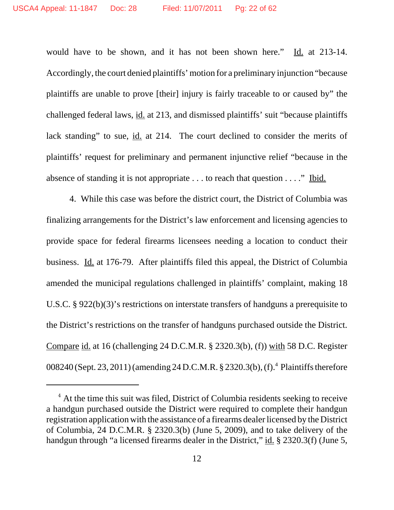would have to be shown, and it has not been shown here." Id. at 213-14. Accordingly, the court denied plaintiffs'motion for a preliminary injunction "because plaintiffs are unable to prove [their] injury is fairly traceable to or caused by" the challenged federal laws, id. at 213, and dismissed plaintiffs' suit "because plaintiffs lack standing" to sue, id. at 214. The court declined to consider the merits of plaintiffs' request for preliminary and permanent injunctive relief "because in the absence of standing it is not appropriate  $\dots$  to reach that question  $\dots$ ." Ibid.

4. While this case was before the district court, the District of Columbia was finalizing arrangements for the District's law enforcement and licensing agencies to provide space for federal firearms licensees needing a location to conduct their business. Id. at 176-79. After plaintiffs filed this appeal, the District of Columbia amended the municipal regulations challenged in plaintiffs' complaint, making 18 U.S.C. § 922(b)(3)'s restrictions on interstate transfers of handguns a prerequisite to the District's restrictions on the transfer of handguns purchased outside the District. Compare id. at 16 (challenging 24 D.C.M.R. § 2320.3(b), (f)) with 58 D.C. Register 008240 (Sept. 23, 2011) (amending 24 D.C.M.R. § 2320.3(b), (f).<sup>4</sup> Plaintiffs therefore

<sup>&</sup>lt;sup>4</sup> At the time this suit was filed, District of Columbia residents seeking to receive a handgun purchased outside the District were required to complete their handgun registration application with the assistance of a firearms dealer licensed by the District of Columbia, 24 D.C.M.R. § 2320.3(b) (June 5, 2009), and to take delivery of the handgun through "a licensed firearms dealer in the District," id. § 2320.3(f) (June 5,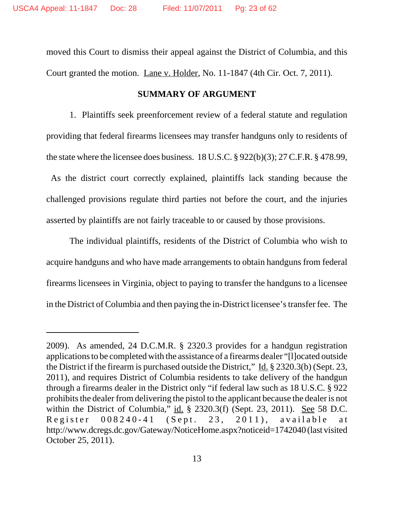moved this Court to dismiss their appeal against the District of Columbia, and this Court granted the motion. Lane v. Holder, No. 11-1847 (4th Cir. Oct. 7, 2011).

#### **SUMMARY OF ARGUMENT**

1. Plaintiffs seek preenforcement review of a federal statute and regulation providing that federal firearms licensees may transfer handguns only to residents of the state where the licensee does business. 18 U.S.C. § 922(b)(3); 27 C.F.R. § 478.99,

 As the district court correctly explained, plaintiffs lack standing because the challenged provisions regulate third parties not before the court, and the injuries asserted by plaintiffs are not fairly traceable to or caused by those provisions.

The individual plaintiffs, residents of the District of Columbia who wish to acquire handguns and who have made arrangements to obtain handguns from federal firearms licensees in Virginia, object to paying to transfer the handguns to a licensee in the District of Columbia and then paying the in-District licensee's transfer fee. The

<sup>2009).</sup> As amended, 24 D.C.M.R. § 2320.3 provides for a handgun registration applicationsto be completed with the assistance of a firearms dealer "[l]ocated outside the District if the firearm is purchased outside the District,"  $\underline{Id}$ . § 2320.3(b) (Sept. 23, 2011), and requires District of Columbia residents to take delivery of the handgun through a firearms dealer in the District only "if federal law such as 18 U.S.C. § 922 prohibits the dealer from delivering the pistol to the applicant because the dealer is not within the District of Columbia," id. § 2320.3(f) (Sept. 23, 2011). See 58 D.C. Register 008240-41 (Sept. 23, 2011), available at http://www.dcregs.dc.gov/Gateway/NoticeHome.aspx?noticeid=1742040 (last visited October 25, 2011).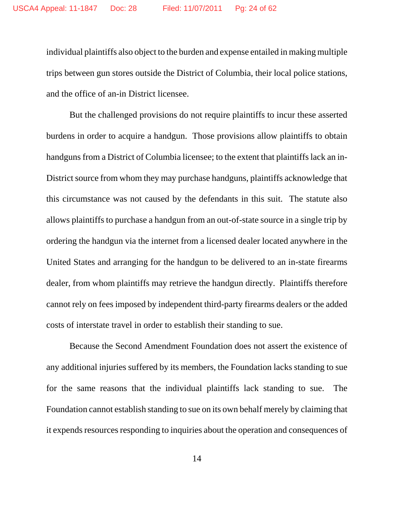individual plaintiffs also object to the burden and expense entailed in making multiple trips between gun stores outside the District of Columbia, their local police stations, and the office of an-in District licensee.

But the challenged provisions do not require plaintiffs to incur these asserted burdens in order to acquire a handgun. Those provisions allow plaintiffs to obtain handguns from a District of Columbia licensee; to the extent that plaintiffs lack an in-District source from whom they may purchase handguns, plaintiffs acknowledge that this circumstance was not caused by the defendants in this suit. The statute also allows plaintiffs to purchase a handgun from an out-of-state source in a single trip by ordering the handgun via the internet from a licensed dealer located anywhere in the United States and arranging for the handgun to be delivered to an in-state firearms dealer, from whom plaintiffs may retrieve the handgun directly. Plaintiffs therefore cannot rely on fees imposed by independent third-party firearms dealers or the added costs of interstate travel in order to establish their standing to sue.

Because the Second Amendment Foundation does not assert the existence of any additional injuries suffered by its members, the Foundation lacks standing to sue for the same reasons that the individual plaintiffs lack standing to sue. The Foundation cannot establish standing to sue on its own behalf merely by claiming that it expends resources responding to inquiries about the operation and consequences of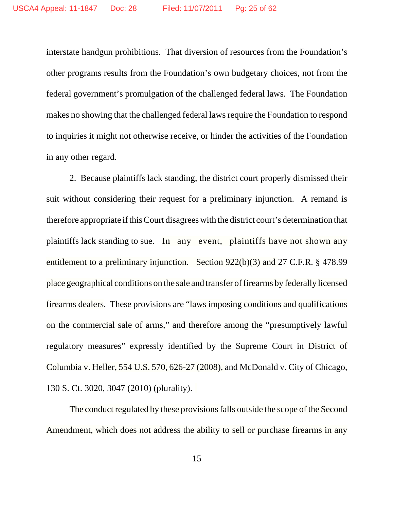interstate handgun prohibitions. That diversion of resources from the Foundation's other programs results from the Foundation's own budgetary choices, not from the federal government's promulgation of the challenged federal laws. The Foundation makes no showing that the challenged federal laws require the Foundation to respond to inquiries it might not otherwise receive, or hinder the activities of the Foundation in any other regard.

2. Because plaintiffs lack standing, the district court properly dismissed their suit without considering their request for a preliminary injunction. A remand is therefore appropriate if this Court disagrees with the district court's determination that plaintiffs lack standing to sue. In any event, plaintiffs have not shown any entitlement to a preliminary injunction. Section 922(b)(3) and 27 C.F.R. § 478.99 place geographical conditions on the sale and transfer of firearms by federally licensed firearms dealers. These provisions are "laws imposing conditions and qualifications on the commercial sale of arms," and therefore among the "presumptively lawful regulatory measures" expressly identified by the Supreme Court in District of Columbia v. Heller, 554 U.S. 570, 626-27 (2008), and McDonald v. City of Chicago, 130 S. Ct. 3020, 3047 (2010) (plurality).

The conduct regulated by these provisions falls outside the scope of the Second Amendment, which does not address the ability to sell or purchase firearms in any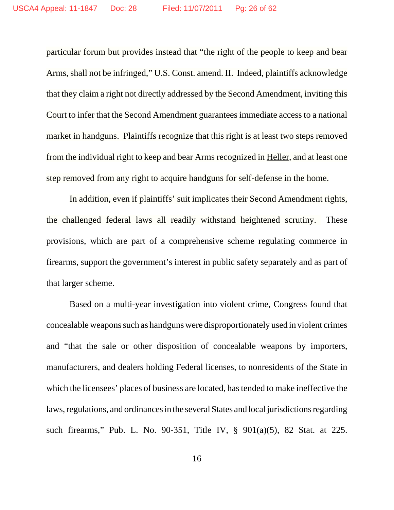particular forum but provides instead that "the right of the people to keep and bear Arms, shall not be infringed," U.S. Const. amend. II. Indeed, plaintiffs acknowledge that they claim a right not directly addressed by the Second Amendment, inviting this Court to infer that the Second Amendment guarantees immediate access to a national market in handguns. Plaintiffs recognize that this right is at least two steps removed from the individual right to keep and bear Arms recognized in Heller, and at least one step removed from any right to acquire handguns for self-defense in the home.

In addition, even if plaintiffs' suit implicates their Second Amendment rights, the challenged federal laws all readily withstand heightened scrutiny. These provisions, which are part of a comprehensive scheme regulating commerce in firearms, support the government's interest in public safety separately and as part of that larger scheme.

Based on a multi-year investigation into violent crime, Congress found that concealable weapons such as handguns were disproportionately used in violent crimes and "that the sale or other disposition of concealable weapons by importers, manufacturers, and dealers holding Federal licenses, to nonresidents of the State in which the licensees' places of business are located, has tended to make ineffective the laws, regulations, and ordinances in the several States and local jurisdictions regarding such firearms," Pub. L. No. 90-351, Title IV, § 901(a)(5), 82 Stat. at 225.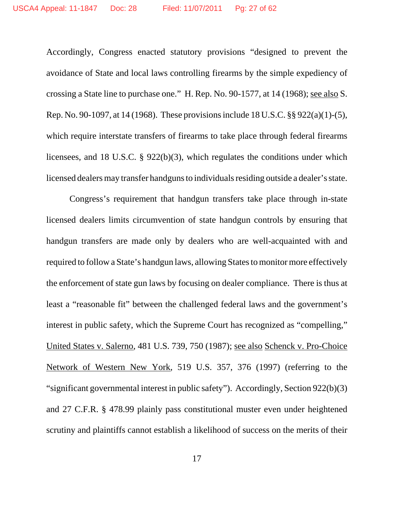Accordingly, Congress enacted statutory provisions "designed to prevent the avoidance of State and local laws controlling firearms by the simple expediency of crossing a State line to purchase one." H. Rep. No. 90-1577, at 14 (1968); see also S. Rep. No. 90-1097, at 14 (1968). These provisions include 18 U.S.C. §§ 922(a)(1)-(5), which require interstate transfers of firearms to take place through federal firearms licensees, and 18 U.S.C. § 922(b)(3), which regulates the conditions under which licensed dealers may transfer handguns to individuals residing outside a dealer's state.

Congress's requirement that handgun transfers take place through in-state licensed dealers limits circumvention of state handgun controls by ensuring that handgun transfers are made only by dealers who are well-acquainted with and required to follow a State's handgun laws, allowing States to monitor more effectively the enforcement of state gun laws by focusing on dealer compliance. There is thus at least a "reasonable fit" between the challenged federal laws and the government's interest in public safety, which the Supreme Court has recognized as "compelling," United States v. Salerno, 481 U.S. 739, 750 (1987); see also Schenck v. Pro-Choice Network of Western New York, 519 U.S. 357, 376 (1997) (referring to the "significant governmental interest in public safety"). Accordingly, Section 922(b)(3) and 27 C.F.R. § 478.99 plainly pass constitutional muster even under heightened scrutiny and plaintiffs cannot establish a likelihood of success on the merits of their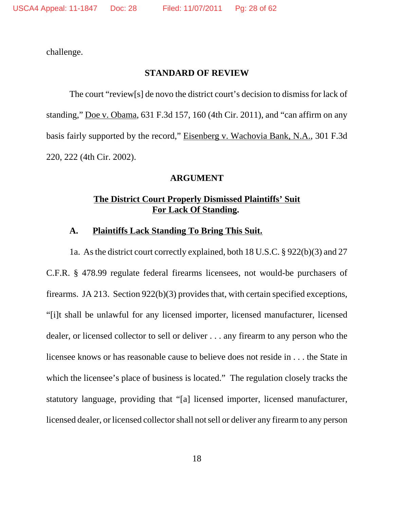challenge.

## **STANDARD OF REVIEW**

The court "review[s] de novo the district court's decision to dismiss for lack of standing," Doe v. Obama, 631 F.3d 157, 160 (4th Cir. 2011), and "can affirm on any basis fairly supported by the record," Eisenberg v. Wachovia Bank, N.A., 301 F.3d 220, 222 (4th Cir. 2002).

### **ARGUMENT**

## **The District Court Properly Dismissed Plaintiffs' Suit For Lack Of Standing.**

#### **A. Plaintiffs Lack Standing To Bring This Suit.**

1a. As the district court correctly explained, both 18 U.S.C. § 922(b)(3) and 27 C.F.R. § 478.99 regulate federal firearms licensees, not would-be purchasers of firearms. JA 213. Section 922(b)(3) provides that, with certain specified exceptions, "[i]t shall be unlawful for any licensed importer, licensed manufacturer, licensed dealer, or licensed collector to sell or deliver . . . any firearm to any person who the licensee knows or has reasonable cause to believe does not reside in . . . the State in which the licensee's place of business is located." The regulation closely tracks the statutory language, providing that "[a] licensed importer, licensed manufacturer, licensed dealer, or licensed collector shall not sell or deliver any firearm to any person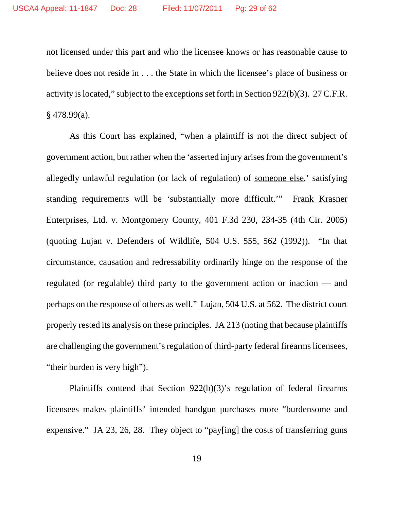not licensed under this part and who the licensee knows or has reasonable cause to believe does not reside in . . . the State in which the licensee's place of business or activity is located," subject to the exceptions set forth in Section 922(b)(3). 27 C.F.R.  $§$  478.99(a).

As this Court has explained, "when a plaintiff is not the direct subject of government action, but rather when the 'asserted injury arises from the government's allegedly unlawful regulation (or lack of regulation) of someone else,' satisfying standing requirements will be 'substantially more difficult.'" Frank Krasner Enterprises, Ltd. v. Montgomery County, 401 F.3d 230, 234-35 (4th Cir. 2005) (quoting Lujan v. Defenders of Wildlife, 504 U.S. 555, 562 (1992)). "In that circumstance, causation and redressability ordinarily hinge on the response of the regulated (or regulable) third party to the government action or inaction –– and perhaps on the response of others as well." Lujan, 504 U.S. at 562. The district court properly rested its analysis on these principles. JA 213 (noting that because plaintiffs are challenging the government's regulation of third-party federal firearms licensees, "their burden is very high").

Plaintiffs contend that Section 922(b)(3)'s regulation of federal firearms licensees makes plaintiffs' intended handgun purchases more "burdensome and expensive." JA 23, 26, 28. They object to "pay[ing] the costs of transferring guns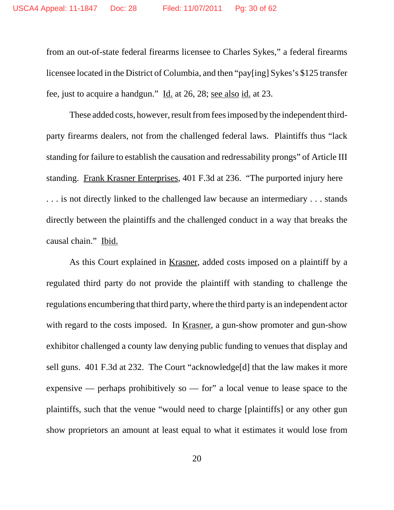from an out-of-state federal firearms licensee to Charles Sykes," a federal firearms licensee located in the District of Columbia, and then "pay[ing] Sykes's \$125 transfer fee, just to acquire a handgun." Id. at 26, 28; see also id. at 23.

These added costs, however, result from fees imposed by the independent thirdparty firearms dealers, not from the challenged federal laws. Plaintiffs thus "lack standing for failure to establish the causation and redressability prongs" of Article III standing. Frank Krasner Enterprises, 401 F.3d at 236. "The purported injury here . . . is not directly linked to the challenged law because an intermediary . . . stands directly between the plaintiffs and the challenged conduct in a way that breaks the causal chain." Ibid.

As this Court explained in Krasner, added costs imposed on a plaintiff by a regulated third party do not provide the plaintiff with standing to challenge the regulations encumbering that third party, where the third party is an independent actor with regard to the costs imposed. In <u>Krasner</u>, a gun-show promoter and gun-show exhibitor challenged a county law denying public funding to venues that display and sell guns. 401 F.3d at 232. The Court "acknowledge[d] that the law makes it more expensive — perhaps prohibitively so — for" a local venue to lease space to the plaintiffs, such that the venue "would need to charge [plaintiffs] or any other gun show proprietors an amount at least equal to what it estimates it would lose from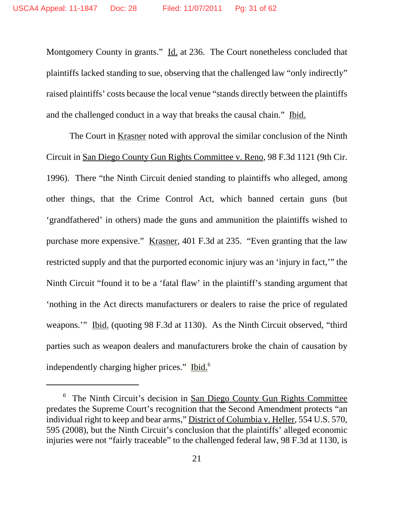Montgomery County in grants." Id. at 236. The Court nonetheless concluded that plaintiffs lacked standing to sue, observing that the challenged law "only indirectly" raised plaintiffs' costs because the local venue "stands directly between the plaintiffs and the challenged conduct in a way that breaks the causal chain." Ibid.

The Court in Krasner noted with approval the similar conclusion of the Ninth Circuit in San Diego County Gun Rights Committee v. Reno, 98 F.3d 1121 (9th Cir. 1996). There "the Ninth Circuit denied standing to plaintiffs who alleged, among other things, that the Crime Control Act, which banned certain guns (but 'grandfathered' in others) made the guns and ammunition the plaintiffs wished to purchase more expensive." Krasner, 401 F.3d at 235. "Even granting that the law restricted supply and that the purported economic injury was an 'injury in fact,'" the Ninth Circuit "found it to be a 'fatal flaw' in the plaintiff's standing argument that 'nothing in the Act directs manufacturers or dealers to raise the price of regulated weapons." Ibid. (quoting 98 F.3d at 1130). As the Ninth Circuit observed, "third parties such as weapon dealers and manufacturers broke the chain of causation by independently charging higher prices." Ibid.<sup>6</sup>

<sup>&</sup>lt;sup>6</sup> The Ninth Circuit's decision in <u>San Diego County Gun Rights Committee</u> predates the Supreme Court's recognition that the Second Amendment protects "an individual right to keep and bear arms," District of Columbia v. Heller, 554 U.S. 570, 595 (2008), but the Ninth Circuit's conclusion that the plaintiffs' alleged economic injuries were not "fairly traceable" to the challenged federal law, 98 F.3d at 1130, is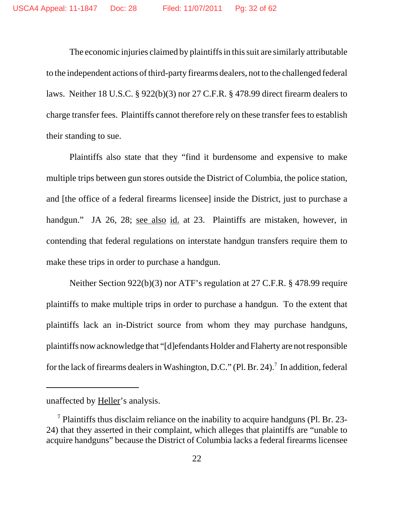The economic injuries claimed by plaintiffs in this suit are similarly attributable to the independent actions of third-party firearms dealers, not to the challenged federal laws. Neither 18 U.S.C. § 922(b)(3) nor 27 C.F.R. § 478.99 direct firearm dealers to charge transfer fees. Plaintiffs cannot therefore rely on these transfer fees to establish their standing to sue.

Plaintiffs also state that they "find it burdensome and expensive to make multiple trips between gun stores outside the District of Columbia, the police station, and [the office of a federal firearms licensee] inside the District, just to purchase a handgun." JA 26, 28; see also id. at 23. Plaintiffs are mistaken, however, in contending that federal regulations on interstate handgun transfers require them to make these trips in order to purchase a handgun.

Neither Section 922(b)(3) nor ATF's regulation at 27 C.F.R. § 478.99 require plaintiffs to make multiple trips in order to purchase a handgun. To the extent that plaintiffs lack an in-District source from whom they may purchase handguns, plaintiffs now acknowledge that "[d]efendants Holder and Flaherty are not responsible for the lack of firearms dealers in Washington, D.C." (Pl. Br. 24).<sup>7</sup> In addition, federal

unaffected by Heller's analysis.

 $<sup>7</sup>$  Plaintiffs thus disclaim reliance on the inability to acquire handguns (Pl. Br. 23-</sup> 24) that they asserted in their complaint, which alleges that plaintiffs are "unable to acquire handguns" because the District of Columbia lacks a federal firearms licensee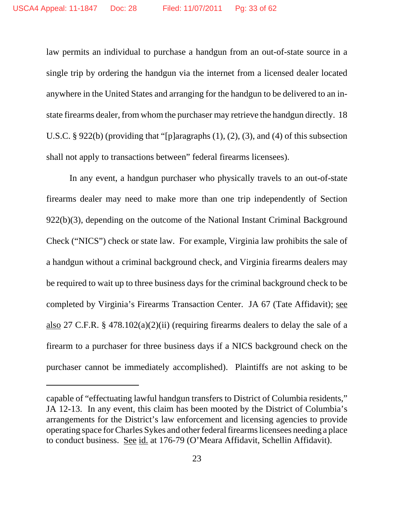law permits an individual to purchase a handgun from an out-of-state source in a single trip by ordering the handgun via the internet from a licensed dealer located anywhere in the United States and arranging for the handgun to be delivered to an instate firearms dealer, from whom the purchaser may retrieve the handgun directly. 18 U.S.C. § 922(b) (providing that "[p]aragraphs (1), (2), (3), and (4) of this subsection shall not apply to transactions between" federal firearms licensees).

In any event, a handgun purchaser who physically travels to an out-of-state firearms dealer may need to make more than one trip independently of Section 922(b)(3), depending on the outcome of the National Instant Criminal Background Check ("NICS") check or state law. For example, Virginia law prohibits the sale of a handgun without a criminal background check, and Virginia firearms dealers may be required to wait up to three business days for the criminal background check to be completed by Virginia's Firearms Transaction Center. JA 67 (Tate Affidavit); see also 27 C.F.R. § 478.102(a)(2)(ii) (requiring firearms dealers to delay the sale of a firearm to a purchaser for three business days if a NICS background check on the purchaser cannot be immediately accomplished). Plaintiffs are not asking to be

capable of "effectuating lawful handgun transfers to District of Columbia residents," JA 12-13. In any event, this claim has been mooted by the District of Columbia's arrangements for the District's law enforcement and licensing agencies to provide operating space for Charles Sykes and other federal firearms licensees needing a place to conduct business. See id. at 176-79 (O'Meara Affidavit, Schellin Affidavit).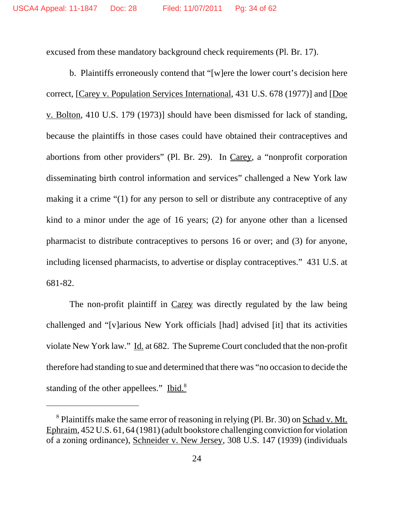excused from these mandatory background check requirements (Pl. Br. 17).

b. Plaintiffs erroneously contend that "[w]ere the lower court's decision here correct, [Carey v. Population Services International, 431 U.S. 678 (1977)] and [Doe v. Bolton, 410 U.S. 179 (1973)] should have been dismissed for lack of standing, because the plaintiffs in those cases could have obtained their contraceptives and abortions from other providers" (Pl. Br. 29). In Carey, a "nonprofit corporation disseminating birth control information and services" challenged a New York law making it a crime "(1) for any person to sell or distribute any contraceptive of any kind to a minor under the age of 16 years; (2) for anyone other than a licensed pharmacist to distribute contraceptives to persons 16 or over; and (3) for anyone, including licensed pharmacists, to advertise or display contraceptives." 431 U.S. at 681-82.

The non-profit plaintiff in Carey was directly regulated by the law being challenged and "[v]arious New York officials [had] advised [it] that its activities violate New York law." Id. at 682. The Supreme Court concluded that the non-profit therefore had standing to sue and determined that there was "no occasion to decide the standing of the other appellees." Ibid. $8$ 

<sup>8</sup> Plaintiffs make the same error of reasoning in relying (Pl. Br. 30) on Schad v. Mt. Ephraim, 452 U.S. 61, 64 (1981) (adult bookstore challenging conviction for violation of a zoning ordinance), Schneider v. New Jersey, 308 U.S. 147 (1939) (individuals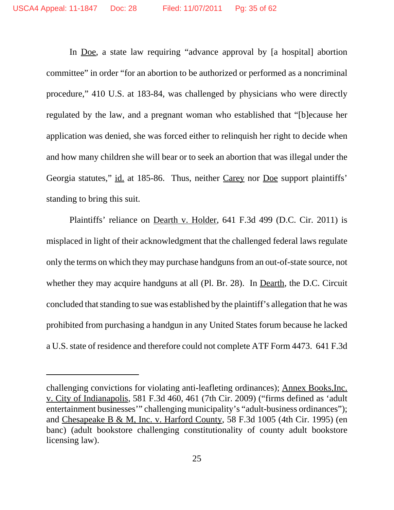In Doe, a state law requiring "advance approval by [a hospital] abortion committee" in order "for an abortion to be authorized or performed as a noncriminal procedure," 410 U.S. at 183-84, was challenged by physicians who were directly regulated by the law, and a pregnant woman who established that "[b]ecause her application was denied, she was forced either to relinquish her right to decide when and how many children she will bear or to seek an abortion that was illegal under the Georgia statutes," id. at 185-86. Thus, neither Carey nor Doe support plaintiffs' standing to bring this suit.

Plaintiffs' reliance on Dearth v. Holder, 641 F.3d 499 (D.C. Cir. 2011) is misplaced in light of their acknowledgment that the challenged federal laws regulate only the terms on which they may purchase handguns from an out-of-state source, not whether they may acquire handguns at all (Pl. Br. 28). In Dearth, the D.C. Circuit concluded that standing to sue was established by the plaintiff's allegation that he was prohibited from purchasing a handgun in any United States forum because he lacked a U.S. state of residence and therefore could not complete ATF Form 4473. 641 F.3d

challenging convictions for violating anti-leafleting ordinances); Annex Books,Inc. v. City of Indianapolis, 581 F.3d 460, 461 (7th Cir. 2009) ("firms defined as 'adult entertainment businesses'" challenging municipality's "adult-business ordinances"); and Chesapeake B & M, Inc. v. Harford County, 58 F.3d 1005 (4th Cir. 1995) (en banc) (adult bookstore challenging constitutionality of county adult bookstore licensing law).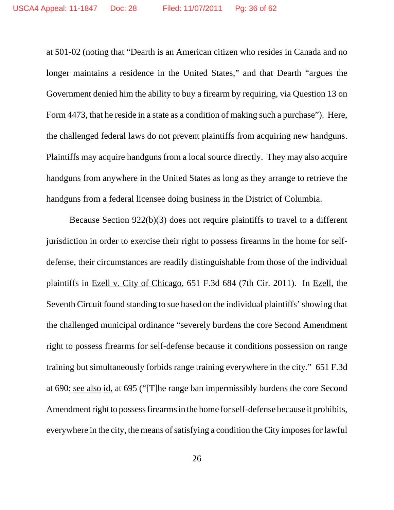at 501-02 (noting that "Dearth is an American citizen who resides in Canada and no longer maintains a residence in the United States," and that Dearth "argues the Government denied him the ability to buy a firearm by requiring, via Question 13 on Form 4473, that he reside in a state as a condition of making such a purchase"). Here, the challenged federal laws do not prevent plaintiffs from acquiring new handguns. Plaintiffs may acquire handguns from a local source directly. They may also acquire handguns from anywhere in the United States as long as they arrange to retrieve the handguns from a federal licensee doing business in the District of Columbia.

Because Section 922(b)(3) does not require plaintiffs to travel to a different jurisdiction in order to exercise their right to possess firearms in the home for selfdefense, their circumstances are readily distinguishable from those of the individual plaintiffs in Ezell v. City of Chicago, 651 F.3d 684 (7th Cir. 2011). In Ezell, the Seventh Circuit found standing to sue based on the individual plaintiffs' showing that the challenged municipal ordinance "severely burdens the core Second Amendment right to possess firearms for self-defense because it conditions possession on range training but simultaneously forbids range training everywhere in the city." 651 F.3d at 690; see also id, at 695 ("[T]he range ban impermissibly burdens the core Second Amendment right to possess firearms in the home for self-defense because it prohibits, everywhere in the city, the means of satisfying a condition the City imposes for lawful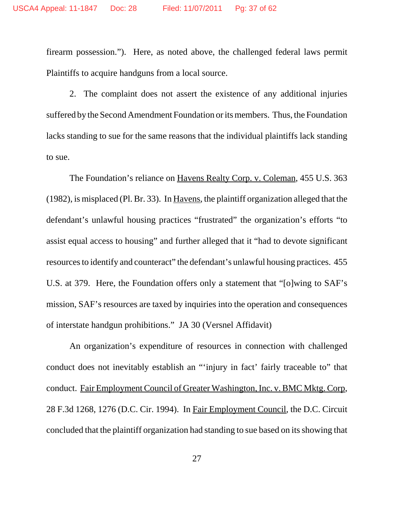firearm possession."). Here, as noted above, the challenged federal laws permit Plaintiffs to acquire handguns from a local source.

2. The complaint does not assert the existence of any additional injuries suffered by the Second Amendment Foundation or its members. Thus, the Foundation lacks standing to sue for the same reasons that the individual plaintiffs lack standing to sue.

The Foundation's reliance on Havens Realty Corp. v. Coleman, 455 U.S. 363 (1982), is misplaced (Pl. Br. 33). In Havens, the plaintiff organization alleged that the defendant's unlawful housing practices "frustrated" the organization's efforts "to assist equal access to housing" and further alleged that it "had to devote significant resources to identify and counteract" the defendant's unlawful housing practices. 455 U.S. at 379. Here, the Foundation offers only a statement that "[o]wing to SAF's mission, SAF's resources are taxed by inquiries into the operation and consequences of interstate handgun prohibitions." JA 30 (Versnel Affidavit)

An organization's expenditure of resources in connection with challenged conduct does not inevitably establish an "'injury in fact' fairly traceable to" that conduct. Fair Employment Council of Greater Washington, Inc. v. BMC Mktg. Corp, 28 F.3d 1268, 1276 (D.C. Cir. 1994). In Fair Employment Council, the D.C. Circuit concluded that the plaintiff organization had standing to sue based on its showing that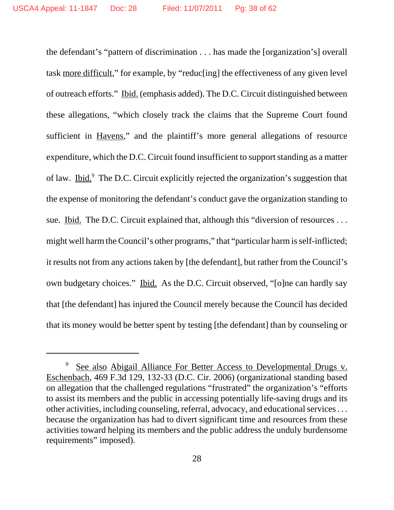the defendant's "pattern of discrimination . . . has made the [organization's] overall task more difficult," for example, by "reduc[ing] the effectiveness of any given level of outreach efforts." Ibid. (emphasis added). The D.C. Circuit distinguished between these allegations, "which closely track the claims that the Supreme Court found sufficient in Havens," and the plaintiff's more general allegations of resource expenditure, which the D.C. Circuit found insufficient to support standing as a matter of law. Ibid.<sup>9</sup> The D.C. Circuit explicitly rejected the organization's suggestion that the expense of monitoring the defendant's conduct gave the organization standing to sue. Ibid. The D.C. Circuit explained that, although this "diversion of resources ... might well harm the Council's other programs," that "particular harm is self-inflicted; it results not from any actions taken by [the defendant], but rather from the Council's own budgetary choices." Ibid. As the D.C. Circuit observed, "[o]ne can hardly say that [the defendant] has injured the Council merely because the Council has decided that its money would be better spent by testing [the defendant] than by counseling or

See also Abigail Alliance For Better Access to Developmental Drugs v. Eschenbach, 469 F.3d 129, 132-33 (D.C. Cir. 2006) (organizational standing based on allegation that the challenged regulations "frustrated" the organization's "efforts to assist its members and the public in accessing potentially life-saving drugs and its other activities, including counseling, referral, advocacy, and educational services . . . because the organization has had to divert significant time and resources from these activities toward helping its members and the public address the unduly burdensome requirements" imposed).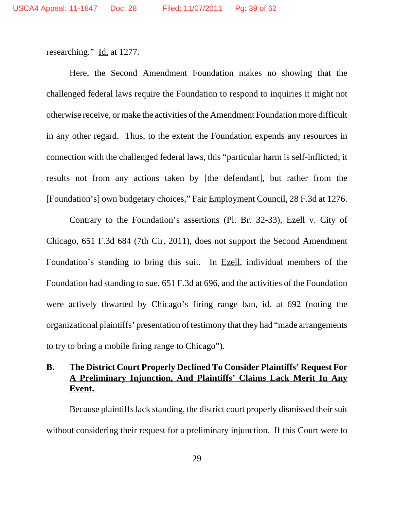researching." Id. at 1277.

Here, the Second Amendment Foundation makes no showing that the challenged federal laws require the Foundation to respond to inquiries it might not otherwise receive, or make the activities of the Amendment Foundation more difficult in any other regard. Thus, to the extent the Foundation expends any resources in connection with the challenged federal laws, this "particular harm is self-inflicted; it results not from any actions taken by [the defendant], but rather from the [Foundation's] own budgetary choices," Fair Employment Council, 28 F.3d at 1276.

Contrary to the Foundation's assertions (Pl. Br. 32-33), Ezell v. City of Chicago, 651 F.3d 684 (7th Cir. 2011), does not support the Second Amendment Foundation's standing to bring this suit. In Ezell, individual members of the Foundation had standing to sue, 651 F.3d at 696, and the activities of the Foundation were actively thwarted by Chicago's firing range ban, id. at 692 (noting the organizational plaintiffs' presentation of testimony that they had "made arrangements to try to bring a mobile firing range to Chicago").

## **B. The District Court Properly Declined To Consider Plaintiffs' Request For A Preliminary Injunction, And Plaintiffs' Claims Lack Merit In Any Event.**

Because plaintiffs lack standing, the district court properly dismissed their suit without considering their request for a preliminary injunction. If this Court were to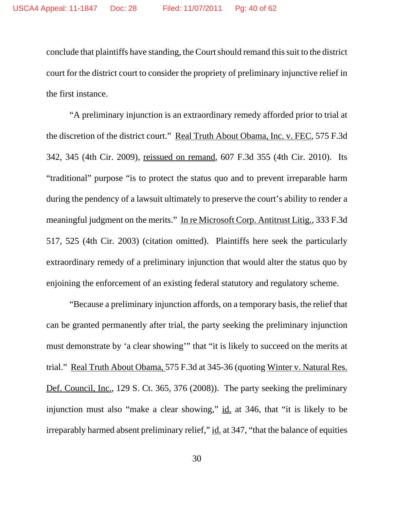conclude that plaintiffs have standing, the Court should remand this suit to the district court for the district court to consider the propriety of preliminary injunctive relief in the first instance.

"A preliminary injunction is an extraordinary remedy afforded prior to trial at the discretion of the district court." Real Truth About Obama, Inc. v. FEC, 575 F.3d 342, 345 (4th Cir. 2009), reissued on remand, 607 F.3d 355 (4th Cir. 2010). Its "traditional" purpose "is to protect the status quo and to prevent irreparable harm during the pendency of a lawsuit ultimately to preserve the court's ability to render a meaningful judgment on the merits." In re Microsoft Corp. Antitrust Litig*.*, 333 F.3d 517, 525 (4th Cir. 2003) (citation omitted). Plaintiffs here seek the particularly extraordinary remedy of a preliminary injunction that would alter the status quo by enjoining the enforcement of an existing federal statutory and regulatory scheme.

"Because a preliminary injunction affords, on a temporary basis, the relief that can be granted permanently after trial, the party seeking the preliminary injunction must demonstrate by 'a clear showing'" that "it is likely to succeed on the merits at trial." Real Truth About Obama, 575 F.3d at 345-36 (quoting Winter v. Natural Res. Def. Council, Inc., 129 S. Ct. 365, 376 (2008)). The party seeking the preliminary injunction must also "make a clear showing," id. at 346, that "it is likely to be irreparably harmed absent preliminary relief," id. at 347, "that the balance of equities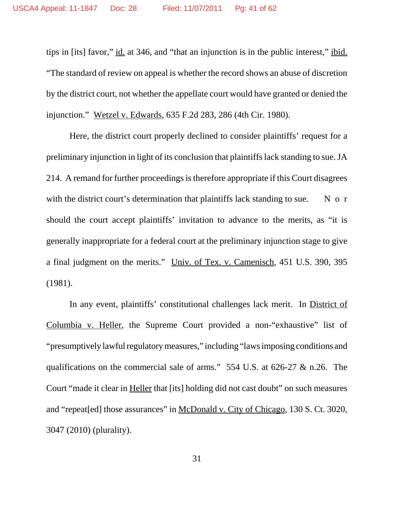tips in [its] favor," id. at 346, and "that an injunction is in the public interest," ibid. "The standard of review on appeal is whether the record shows an abuse of discretion by the district court, not whether the appellate court would have granted or denied the injunction." Wetzel v. Edwards, 635 F.2d 283, 286 (4th Cir. 1980).

Here, the district court properly declined to consider plaintiffs' request for a preliminary injunction in light of its conclusion that plaintiffs lack standing to sue. JA 214. A remand for further proceedings is therefore appropriate if this Court disagrees with the district court's determination that plaintiffs lack standing to sue.  $N \circ r$ should the court accept plaintiffs' invitation to advance to the merits, as "it is generally inappropriate for a federal court at the preliminary injunction stage to give a final judgment on the merits." Univ. of Tex. v. Camenisch, 451 U.S. 390, 395 (1981).

In any event, plaintiffs' constitutional challenges lack merit. In District of Columbia v. Heller, the Supreme Court provided a non-"exhaustive" list of "presumptively lawful regulatory measures," including "laws imposing conditions and qualifications on the commercial sale of arms." 554 U.S. at 626-27 & n.26. The Court "made it clear in Heller that [its] holding did not cast doubt" on such measures and "repeat[ed] those assurances" in McDonald v. City of Chicago, 130 S. Ct. 3020, 3047 (2010) (plurality).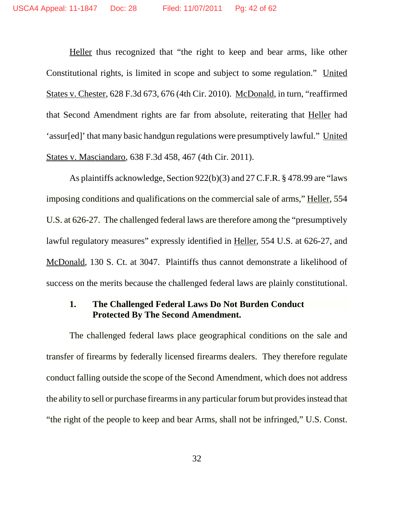Heller thus recognized that "the right to keep and bear arms, like other Constitutional rights, is limited in scope and subject to some regulation." United States v. Chester, 628 F.3d 673, 676 (4th Cir. 2010). McDonald, in turn, "reaffirmed that Second Amendment rights are far from absolute, reiterating that Heller had 'assur[ed]' that many basic handgun regulations were presumptively lawful." United States v. Masciandaro, 638 F.3d 458, 467 (4th Cir. 2011).

As plaintiffs acknowledge, Section 922(b)(3) and 27 C.F.R. § 478.99 are "laws imposing conditions and qualifications on the commercial sale of arms," Heller, 554 U.S. at 626-27. The challenged federal laws are therefore among the "presumptively lawful regulatory measures" expressly identified in Heller, 554 U.S. at 626-27, and McDonald, 130 S. Ct. at 3047. Plaintiffs thus cannot demonstrate a likelihood of success on the merits because the challenged federal laws are plainly constitutional.

## **1. The Challenged Federal Laws Do Not Burden Conduct Protected By The Second Amendment.**

The challenged federal laws place geographical conditions on the sale and transfer of firearms by federally licensed firearms dealers. They therefore regulate conduct falling outside the scope of the Second Amendment, which does not address the ability to sell or purchase firearms in any particular forum but provides instead that "the right of the people to keep and bear Arms, shall not be infringed," U.S. Const.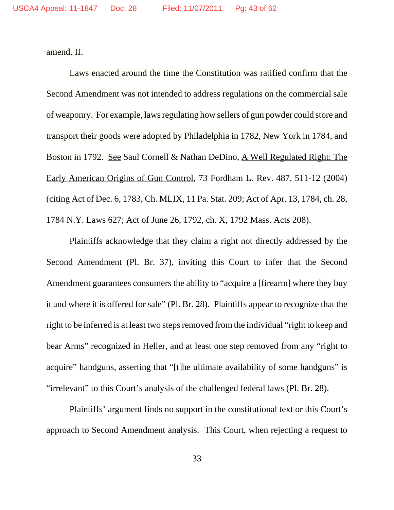amend. II.

Laws enacted around the time the Constitution was ratified confirm that the Second Amendment was not intended to address regulations on the commercial sale of weaponry. For example, laws regulating how sellers of gun powder could store and transport their goods were adopted by Philadelphia in 1782, New York in 1784, and Boston in 1792. See Saul Cornell & Nathan DeDino, A Well Regulated Right: The Early American Origins of Gun Control, 73 Fordham L. Rev. 487, 511-12 (2004) (citing Act of Dec. 6, 1783, Ch. MLIX, 11 Pa. Stat. 209; Act of Apr. 13, 1784, ch. 28, 1784 N.Y. Laws 627; Act of June 26, 1792, ch. X, 1792 Mass. Acts 208).

Plaintiffs acknowledge that they claim a right not directly addressed by the Second Amendment (Pl. Br. 37), inviting this Court to infer that the Second Amendment guarantees consumers the ability to "acquire a [firearm] where they buy it and where it is offered for sale" (Pl. Br. 28). Plaintiffs appear to recognize that the right to be inferred is at least two steps removed from the individual "right to keep and bear Arms" recognized in Heller, and at least one step removed from any "right to acquire" handguns, asserting that "[t]he ultimate availability of some handguns" is "irrelevant" to this Court's analysis of the challenged federal laws (Pl. Br. 28).

Plaintiffs' argument finds no support in the constitutional text or this Court's approach to Second Amendment analysis. This Court, when rejecting a request to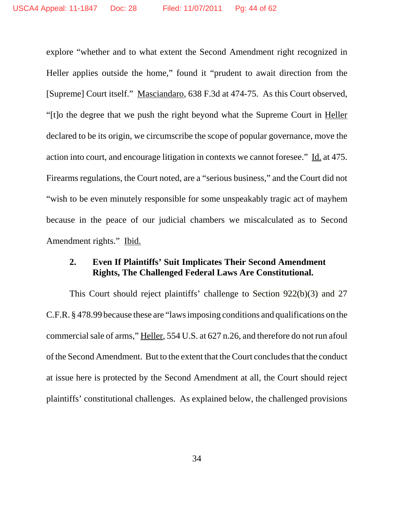explore "whether and to what extent the Second Amendment right recognized in Heller applies outside the home," found it "prudent to await direction from the [Supreme] Court itself." Masciandaro, 638 F.3d at 474-75. As this Court observed, "[t]o the degree that we push the right beyond what the Supreme Court in Heller declared to be its origin, we circumscribe the scope of popular governance, move the action into court, and encourage litigation in contexts we cannot foresee." Id. at 475. Firearms regulations, the Court noted, are a "serious business," and the Court did not "wish to be even minutely responsible for some unspeakably tragic act of mayhem because in the peace of our judicial chambers we miscalculated as to Second Amendment rights." Ibid.

## **2. Even If Plaintiffs' Suit Implicates Their Second Amendment Rights, The Challenged Federal Laws Are Constitutional.**

This Court should reject plaintiffs' challenge to Section 922(b)(3) and 27 C.F.R. § 478.99 because these are "laws imposing conditions and qualifications on the commercial sale of arms," Heller, 554 U.S. at 627 n.26, and therefore do not run afoul of the Second Amendment. But to the extent that the Court concludes that the conduct at issue here is protected by the Second Amendment at all, the Court should reject plaintiffs' constitutional challenges. As explained below, the challenged provisions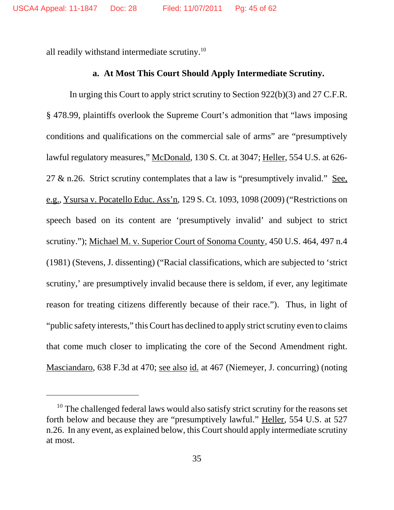all readily withstand intermediate scrutiny.10

#### **a. At Most This Court Should Apply Intermediate Scrutiny.**

In urging this Court to apply strict scrutiny to Section 922(b)(3) and 27 C.F.R. § 478.99, plaintiffs overlook the Supreme Court's admonition that "laws imposing conditions and qualifications on the commercial sale of arms" are "presumptively lawful regulatory measures," McDonald, 130 S. Ct. at 3047; Heller, 554 U.S. at 626- 27  $\&$  n.26. Strict scrutiny contemplates that a law is "presumptively invalid." See, e.g., Ysursa v. Pocatello Educ. Ass'n, 129 S. Ct. 1093, 1098 (2009) ("Restrictions on speech based on its content are 'presumptively invalid' and subject to strict scrutiny."); Michael M. v. Superior Court of Sonoma County, 450 U.S. 464, 497 n.4 (1981) (Stevens, J. dissenting) ("Racial classifications, which are subjected to 'strict scrutiny,' are presumptively invalid because there is seldom, if ever, any legitimate reason for treating citizens differently because of their race."). Thus, in light of "public safety interests," this Court has declined to apply strict scrutiny even to claims that come much closer to implicating the core of the Second Amendment right. Masciandaro, 638 F.3d at 470; see also id. at 467 (Niemeyer, J. concurring) (noting

<sup>&</sup>lt;sup>10</sup> The challenged federal laws would also satisfy strict scrutiny for the reasons set forth below and because they are "presumptively lawful." Heller, 554 U.S. at 527 n.26. In any event, as explained below, this Court should apply intermediate scrutiny at most.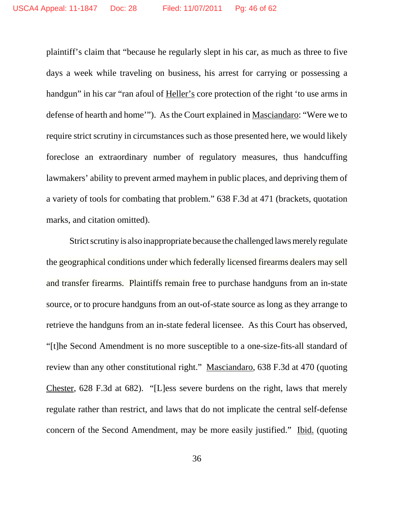plaintiff's claim that "because he regularly slept in his car, as much as three to five days a week while traveling on business, his arrest for carrying or possessing a handgun" in his car "ran afoul of Heller's core protection of the right 'to use arms in defense of hearth and home'"). As the Court explained in Masciandaro: "Were we to require strict scrutiny in circumstances such as those presented here, we would likely foreclose an extraordinary number of regulatory measures, thus handcuffing lawmakers' ability to prevent armed mayhem in public places, and depriving them of a variety of tools for combating that problem." 638 F.3d at 471 (brackets, quotation marks, and citation omitted).

Strict scrutiny is also inappropriate because the challenged laws merely regulate the geographical conditions under which federally licensed firearms dealers may sell and transfer firearms. Plaintiffs remain free to purchase handguns from an in-state source, or to procure handguns from an out-of-state source as long as they arrange to retrieve the handguns from an in-state federal licensee. As this Court has observed, "[t]he Second Amendment is no more susceptible to a one-size-fits-all standard of review than any other constitutional right." Masciandaro, 638 F.3d at 470 (quoting Chester, 628 F.3d at 682). "[L]ess severe burdens on the right, laws that merely regulate rather than restrict, and laws that do not implicate the central self-defense concern of the Second Amendment, may be more easily justified." Ibid. (quoting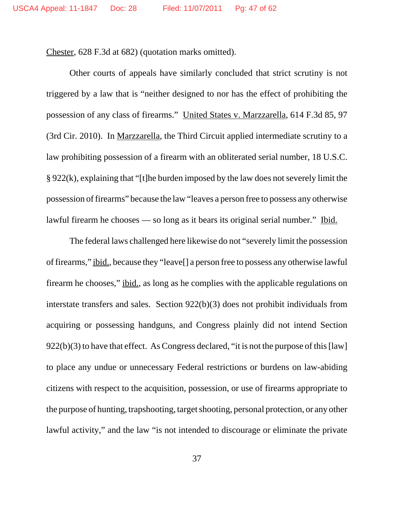Chester, 628 F.3d at 682) (quotation marks omitted).

Other courts of appeals have similarly concluded that strict scrutiny is not triggered by a law that is "neither designed to nor has the effect of prohibiting the possession of any class of firearms." United States v. Marzzarella, 614 F.3d 85, 97 (3rd Cir. 2010). In Marzzarella, the Third Circuit applied intermediate scrutiny to a law prohibiting possession of a firearm with an obliterated serial number, 18 U.S.C. § 922(k), explaining that "[t]he burden imposed by the law does not severely limit the possession of firearms" because the law "leaves a person free to possess any otherwise lawful firearm he chooses — so long as it bears its original serial number." Ibid.

The federal laws challenged here likewise do not "severely limit the possession of firearms," ibid., because they "leave[] a person free to possess any otherwise lawful firearm he chooses," ibid., as long as he complies with the applicable regulations on interstate transfers and sales. Section 922(b)(3) does not prohibit individuals from acquiring or possessing handguns, and Congress plainly did not intend Section 922(b)(3) to have that effect. As Congress declared, "it is not the purpose of this [law] to place any undue or unnecessary Federal restrictions or burdens on law-abiding citizens with respect to the acquisition, possession, or use of firearms appropriate to the purpose of hunting, trapshooting, target shooting, personal protection, or any other lawful activity," and the law "is not intended to discourage or eliminate the private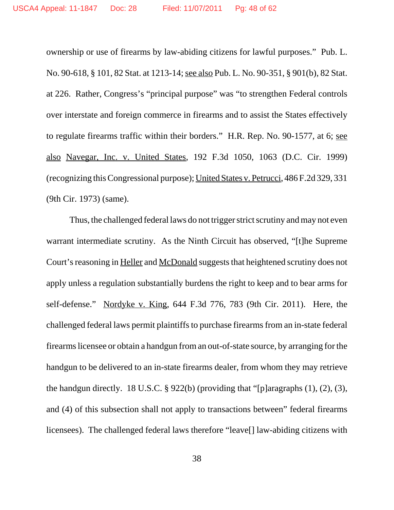ownership or use of firearms by law-abiding citizens for lawful purposes." Pub. L. No. 90-618, § 101, 82 Stat. at 1213-14; see also Pub. L. No. 90-351, § 901(b), 82 Stat. at 226. Rather, Congress's "principal purpose" was "to strengthen Federal controls over interstate and foreign commerce in firearms and to assist the States effectively to regulate firearms traffic within their borders." H.R. Rep. No. 90-1577, at 6; see also Navegar, Inc. v. United States, 192 F.3d 1050, 1063 (D.C. Cir. 1999) (recognizing this Congressional purpose); United States v. Petrucci, 486 F.2d 329, 331 (9th Cir. 1973) (same).

Thus, the challenged federal laws do not trigger strict scrutiny and may not even warrant intermediate scrutiny. As the Ninth Circuit has observed, "[t]he Supreme Court's reasoning in Heller and McDonald suggests that heightened scrutiny does not apply unless a regulation substantially burdens the right to keep and to bear arms for self-defense." Nordyke v. King, 644 F.3d 776, 783 (9th Cir. 2011). Here, the challenged federal laws permit plaintiffs to purchase firearms from an in-state federal firearmslicensee or obtain a handgun froman out-of-state source, by arranging forthe handgun to be delivered to an in-state firearms dealer, from whom they may retrieve the handgun directly. 18 U.S.C. § 922(b) (providing that "[p]aragraphs (1), (2), (3), and (4) of this subsection shall not apply to transactions between" federal firearms licensees). The challenged federal laws therefore "leave[] law-abiding citizens with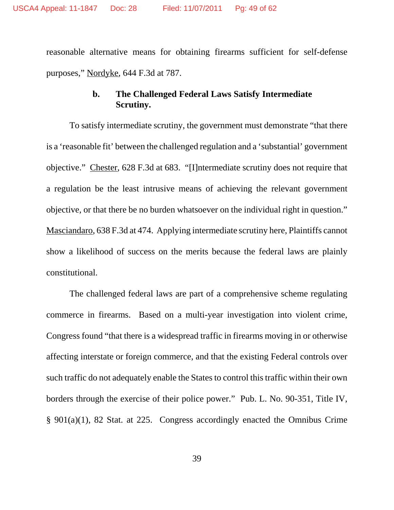reasonable alternative means for obtaining firearms sufficient for self-defense purposes," Nordyke, 644 F.3d at 787.

## **b. The Challenged Federal Laws Satisfy Intermediate Scrutiny.**

To satisfy intermediate scrutiny, the government must demonstrate "that there is a 'reasonable fit' between the challenged regulation and a 'substantial' government objective." Chester, 628 F.3d at 683. "[I]ntermediate scrutiny does not require that a regulation be the least intrusive means of achieving the relevant government objective, or that there be no burden whatsoever on the individual right in question." Masciandaro, 638 F.3d at 474. Applying intermediate scrutiny here, Plaintiffs cannot show a likelihood of success on the merits because the federal laws are plainly constitutional.

The challenged federal laws are part of a comprehensive scheme regulating commerce in firearms. Based on a multi-year investigation into violent crime, Congress found "that there is a widespread traffic in firearms moving in or otherwise affecting interstate or foreign commerce, and that the existing Federal controls over such traffic do not adequately enable the States to control this traffic within their own borders through the exercise of their police power." Pub. L. No. 90-351, Title IV, § 901(a)(1), 82 Stat. at 225. Congress accordingly enacted the Omnibus Crime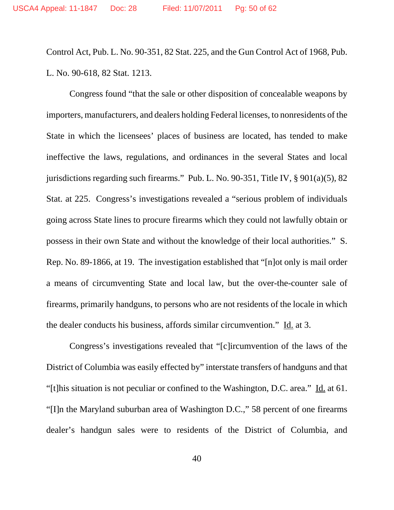Control Act, Pub. L. No. 90-351, 82 Stat. 225, and the Gun Control Act of 1968, Pub. L. No. 90-618, 82 Stat. 1213.

Congress found "that the sale or other disposition of concealable weapons by importers, manufacturers, and dealers holding Federal licenses, to nonresidents of the State in which the licensees' places of business are located, has tended to make ineffective the laws, regulations, and ordinances in the several States and local jurisdictions regarding such firearms." Pub. L. No. 90-351, Title IV, § 901(a)(5), 82 Stat. at 225. Congress's investigations revealed a "serious problem of individuals going across State lines to procure firearms which they could not lawfully obtain or possess in their own State and without the knowledge of their local authorities." S. Rep. No. 89-1866, at 19. The investigation established that "[n]ot only is mail order a means of circumventing State and local law, but the over-the-counter sale of firearms, primarily handguns, to persons who are not residents of the locale in which the dealer conducts his business, affords similar circumvention."  $\underline{Id}$  at 3.

Congress's investigations revealed that "[c]ircumvention of the laws of the District of Columbia was easily effected by" interstate transfers of handguns and that "[t]his situation is not peculiar or confined to the Washington, D.C. area." Id. at 61. "[I]n the Maryland suburban area of Washington D.C.," 58 percent of one firearms dealer's handgun sales were to residents of the District of Columbia, and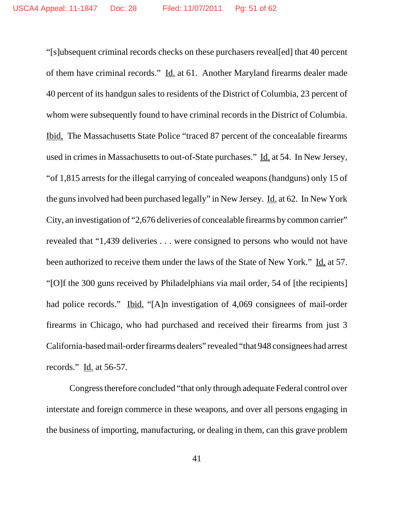"[s]ubsequent criminal records checks on these purchasers reveal[ed] that 40 percent of them have criminal records." Id. at 61. Another Maryland firearms dealer made 40 percent of its handgun sales to residents of the District of Columbia, 23 percent of whom were subsequently found to have criminal records in the District of Columbia. Ibid, The Massachusetts State Police "traced 87 percent of the concealable firearms used in crimes in Massachusetts to out-of-State purchases." Id. at 54. In New Jersey, "of 1,815 arrests for the illegal carrying of concealed weapons (handguns) only 15 of the guns involved had been purchased legally" in New Jersey. Id. at 62. In New York City, an investigation of "2,676 deliveries of concealable firearms by common carrier" revealed that "1,439 deliveries . . . were consigned to persons who would not have been authorized to receive them under the laws of the State of New York." Id, at 57. "[O]f the 300 guns received by Philadelphians via mail order, 54 of [the recipients] had police records." Ibid. "[A]n investigation of 4,069 consignees of mail-order firearms in Chicago, who had purchased and received their firearms from just 3 California-based mail-order firearms dealers" revealed "that 948 consignees had arrest records." Id. at 56-57.

Congress therefore concluded "that only through adequate Federal control over interstate and foreign commerce in these weapons, and over all persons engaging in the business of importing, manufacturing, or dealing in them, can this grave problem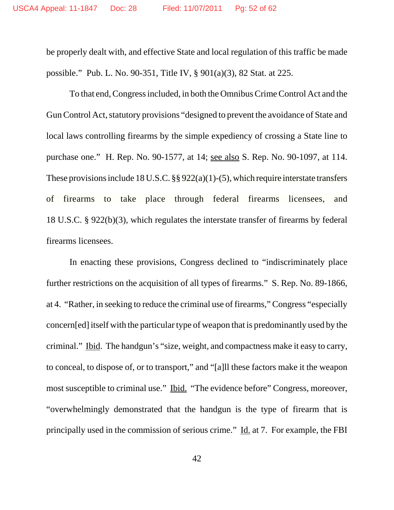be properly dealt with, and effective State and local regulation of this traffic be made possible." Pub. L. No. 90-351, Title IV, § 901(a)(3), 82 Stat. at 225.

To that end, Congress included, in both the Omnibus Crime Control Act and the Gun Control Act, statutory provisions "designed to prevent the avoidance of State and local laws controlling firearms by the simple expediency of crossing a State line to purchase one." H. Rep. No. 90-1577, at 14; see also S. Rep. No. 90-1097, at 114. These provisions include 18 U.S.C.  $\S § 922(a)(1)-(5)$ , which require interstate transfers of firearms to take place through federal firearms licensees, and 18 U.S.C. § 922(b)(3), which regulates the interstate transfer of firearms by federal firearms licensees.

In enacting these provisions, Congress declined to "indiscriminately place further restrictions on the acquisition of all types of firearms." S. Rep. No. 89-1866, at 4. "Rather, in seeking to reduce the criminal use of firearms," Congress "especially concern[ed] itself with the particular type of weapon that is predominantly used by the criminal." Ibid. The handgun's "size, weight, and compactness make it easy to carry, to conceal, to dispose of, or to transport," and "[a]ll these factors make it the weapon most susceptible to criminal use." Ibid. "The evidence before" Congress, moreover, "overwhelmingly demonstrated that the handgun is the type of firearm that is principally used in the commission of serious crime." Id. at 7. For example, the FBI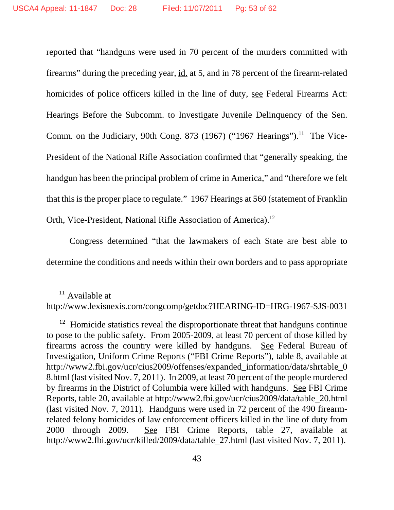reported that "handguns were used in 70 percent of the murders committed with firearms" during the preceding year, id. at 5, and in 78 percent of the firearm-related homicides of police officers killed in the line of duty, see Federal Firearms Act: Hearings Before the Subcomm. to Investigate Juvenile Delinquency of the Sen. Comm. on the Judiciary, 90th Cong. 873 (1967) ("1967 Hearings").<sup>11</sup> The Vice-President of the National Rifle Association confirmed that "generally speaking, the handgun has been the principal problem of crime in America," and "therefore we felt that this is the proper place to regulate." 1967 Hearings at 560 (statement of Franklin Orth, Vice-President, National Rifle Association of America).<sup>12</sup>

Congress determined "that the lawmakers of each State are best able to determine the conditions and needs within their own borders and to pass appropriate

 $11$  Available at

http://www.lexisnexis.com/congcomp/getdoc?HEARING-ID=HRG-1967-SJS-0031

 $12$  Homicide statistics reveal the disproportionate threat that handguns continue to pose to the public safety. From 2005-2009, at least 70 percent of those killed by firearms across the country were killed by handguns. See Federal Bureau of Investigation, Uniform Crime Reports ("FBI Crime Reports"), table 8, available at http://www2.fbi.gov/ucr/cius2009/offenses/expanded\_information/data/shrtable\_0 8.html (last visited Nov. 7, 2011). In 2009, at least 70 percent of the people murdered by firearms in the District of Columbia were killed with handguns. See FBI Crime Reports, table 20, available at http://www2.fbi.gov/ucr/cius2009/data/table\_20.html (last visited Nov. 7, 2011). Handguns were used in 72 percent of the 490 firearmrelated felony homicides of law enforcement officers killed in the line of duty from 2000 through 2009. See FBI Crime Reports, table 27, available at http://www2.fbi.gov/ucr/killed/2009/data/table\_27.html (last visited Nov. 7, 2011).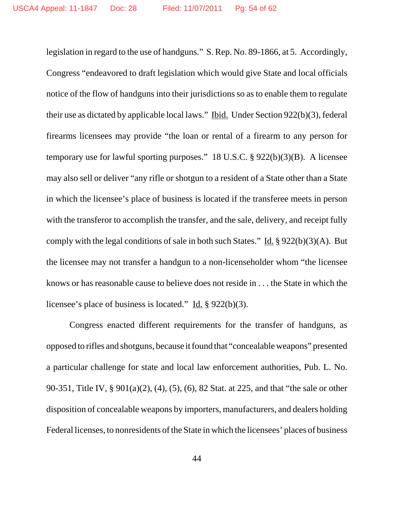legislation in regard to the use of handguns." S. Rep. No. 89-1866, at 5. Accordingly, Congress "endeavored to draft legislation which would give State and local officials notice of the flow of handguns into their jurisdictions so as to enable them to regulate their use as dictated by applicable local laws." Ibid. Under Section 922(b)(3), federal firearms licensees may provide "the loan or rental of a firearm to any person for temporary use for lawful sporting purposes." 18 U.S.C. § 922(b)(3)(B). A licensee may also sell or deliver "any rifle or shotgun to a resident of a State other than a State in which the licensee's place of business is located if the transferee meets in person with the transferor to accomplish the transfer, and the sale, delivery, and receipt fully comply with the legal conditions of sale in both such States." Id.  $\S 922(b)(3)(A)$ . But the licensee may not transfer a handgun to a non-licenseholder whom "the licensee knows or has reasonable cause to believe does not reside in . . . the State in which the licensee's place of business is located." Id.  $\S 922(b)(3)$ .

Congress enacted different requirements for the transfer of handguns, as opposed to rifles and shotguns, because it found that "concealable weapons" presented a particular challenge for state and local law enforcement authorities, Pub. L. No. 90-351, Title IV, § 901(a)(2), (4), (5), (6), 82 Stat. at 225, and that "the sale or other disposition of concealable weapons by importers, manufacturers, and dealers holding Federal licenses, to nonresidents of the State in which the licensees' places of business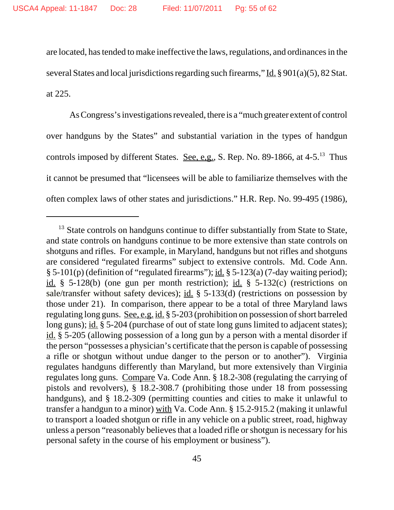are located, has tended to make ineffective the laws, regulations, and ordinances in the several States and local jurisdictions regarding such firearms," Id.  $\S 901(a)(5)$ , 82 Stat. at 225.

As Congress's investigations revealed, there is a "much greater extent of control over handguns by the States" and substantial variation in the types of handgun controls imposed by different States. See, e,g., S. Rep. No. 89-1866, at  $4-5.^{13}$  Thus it cannot be presumed that "licensees will be able to familiarize themselves with the often complex laws of other states and jurisdictions." H.R. Rep. No. 99-495 (1986),

<sup>&</sup>lt;sup>13</sup> State controls on handguns continue to differ substantially from State to State, and state controls on handguns continue to be more extensive than state controls on shotguns and rifles. For example, in Maryland, handguns but not rifles and shotguns are considered "regulated firearms" subject to extensive controls. Md. Code Ann. § 5-101(p) (definition of "regulated firearms"); id. § 5-123(a) (7-day waiting period); id.  $\S$  5-128(b) (one gun per month restriction); id.  $\S$  5-132(c) (restrictions on sale/transfer without safety devices); id. § 5-133(d) (restrictions on possession by those under 21). In comparison, there appear to be a total of three Maryland laws regulating long guns. See, e.g. id. § 5-203 (prohibition on possession of short barreled long guns); id. § 5-204 (purchase of out of state long guns limited to adjacent states); id. § 5-205 (allowing possession of a long gun by a person with a mental disorder if the person "possesses a physician's certificate that the person is capable of possessing a rifle or shotgun without undue danger to the person or to another"). Virginia regulates handguns differently than Maryland, but more extensively than Virginia regulates long guns. Compare Va. Code Ann. § 18.2-308 (regulating the carrying of pistols and revolvers), § 18.2-308.7 (prohibiting those under 18 from possessing handguns), and § 18.2-309 (permitting counties and cities to make it unlawful to transfer a handgun to a minor) with Va. Code Ann. § 15.2-915.2 (making it unlawful to transport a loaded shotgun or rifle in any vehicle on a public street, road, highway unless a person "reasonably believes that a loaded rifle or shotgun is necessary for his personal safety in the course of his employment or business").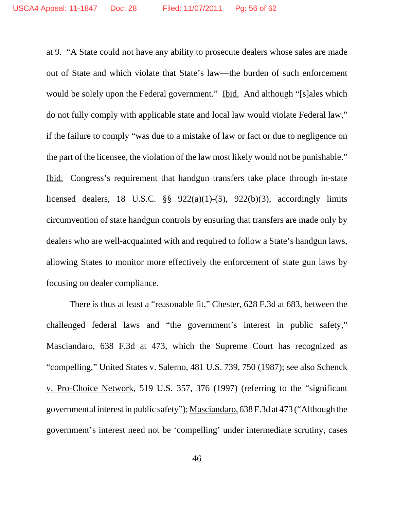at 9. "A State could not have any ability to prosecute dealers whose sales are made out of State and which violate that State's law—the burden of such enforcement would be solely upon the Federal government." Ibid. And although "[s]ales which do not fully comply with applicable state and local law would violate Federal law," if the failure to comply "was due to a mistake of law or fact or due to negligence on the part of the licensee, the violation of the law most likely would not be punishable." Ibid. Congress's requirement that handgun transfers take place through in-state licensed dealers, 18 U.S.C.  $\S$ § 922(a)(1)-(5), 922(b)(3), accordingly limits circumvention of state handgun controls by ensuring that transfers are made only by dealers who are well-acquainted with and required to follow a State's handgun laws, allowing States to monitor more effectively the enforcement of state gun laws by focusing on dealer compliance.

There is thus at least a "reasonable fit," Chester, 628 F.3d at 683, between the challenged federal laws and "the government's interest in public safety," Masciandaro*,* 638 F.3d at 473, which the Supreme Court has recognized as "compelling," United States v. Salerno, 481 U.S. 739, 750 (1987); see also Schenck v. Pro-Choice Network, 519 U.S. 357, 376 (1997) (referring to the "significant governmental interest in public safety");Masciandaro*,* 638 F.3d at 473 ("Although the government's interest need not be 'compelling' under intermediate scrutiny, cases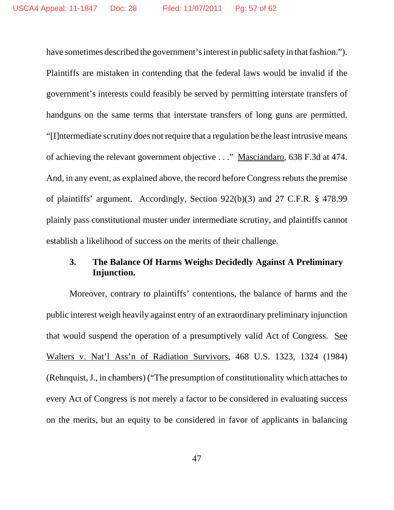have sometimes described the government's interest in public safety in that fashion."). Plaintiffs are mistaken in contending that the federal laws would be invalid if the government's interests could feasibly be served by permitting interstate transfers of handguns on the same terms that interstate transfers of long guns are permitted. "[I]ntermediate scrutiny does not require that a regulation be the least intrusive means of achieving the relevant government objective . . ." Masciandaro, 638 F.3d at 474. And, in any event, as explained above, the record before Congress rebuts the premise of plaintiffs' argument. Accordingly, Section 922(b)(3) and 27 C.F.R. § 478.99 plainly pass constitutional muster under intermediate scrutiny, and plaintiffs cannot establish a likelihood of success on the merits of their challenge.

## **3. The Balance Of Harms Weighs Decidedly Against A Preliminary Injunction.**

Moreover, contrary to plaintiffs' contentions, the balance of harms and the public interest weigh heavily against entry of an extraordinary preliminary injunction that would suspend the operation of a presumptively valid Act of Congress. See Walters v. Nat'l Ass'n of Radiation Survivors, 468 U.S. 1323, 1324 (1984) (Rehnquist,J., in chambers) ("The presumption of constitutionality which attachesto every Act of Congress is not merely a factor to be considered in evaluating success on the merits, but an equity to be considered in favor of applicants in balancing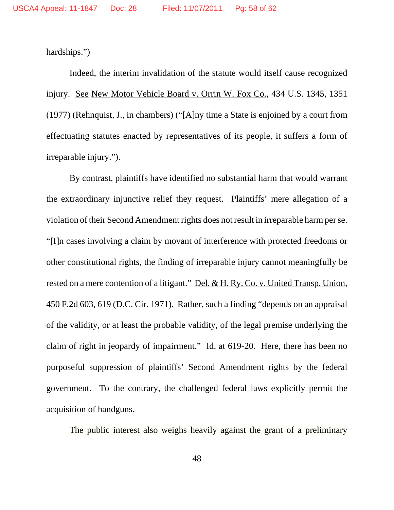hardships.")

Indeed, the interim invalidation of the statute would itself cause recognized injury. See New Motor Vehicle Board v. Orrin W. Fox Co., 434 U.S. 1345, 1351 (1977) (Rehnquist, J., in chambers) ("[A]ny time a State is enjoined by a court from effectuating statutes enacted by representatives of its people, it suffers a form of irreparable injury.").

By contrast, plaintiffs have identified no substantial harm that would warrant the extraordinary injunctive relief they request. Plaintiffs' mere allegation of a violation of their Second Amendment rights does not result in irreparable harm per se. "[I]n cases involving a claim by movant of interference with protected freedoms or other constitutional rights, the finding of irreparable injury cannot meaningfully be rested on a mere contention of a litigant." Del. & H. Ry. Co. v. United Transp. Union, 450 F.2d 603, 619 (D.C. Cir. 1971). Rather, such a finding "depends on an appraisal of the validity, or at least the probable validity, of the legal premise underlying the claim of right in jeopardy of impairment." Id. at  $619-20$ . Here, there has been no purposeful suppression of plaintiffs' Second Amendment rights by the federal government. To the contrary, the challenged federal laws explicitly permit the acquisition of handguns.

The public interest also weighs heavily against the grant of a preliminary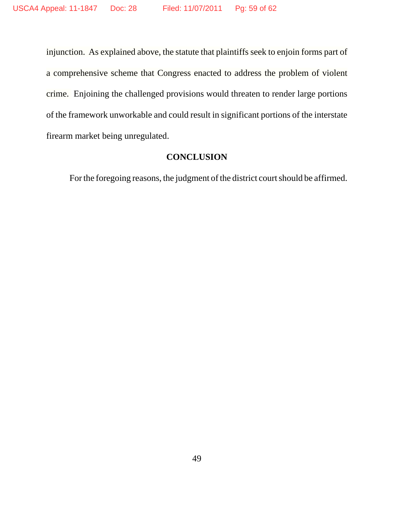injunction. As explained above, the statute that plaintiffs seek to enjoin forms part of a comprehensive scheme that Congress enacted to address the problem of violent crime. Enjoining the challenged provisions would threaten to render large portions of the framework unworkable and could result in significant portions of the interstate firearm market being unregulated.

## **CONCLUSION**

For the foregoing reasons, the judgment of the district court should be affirmed.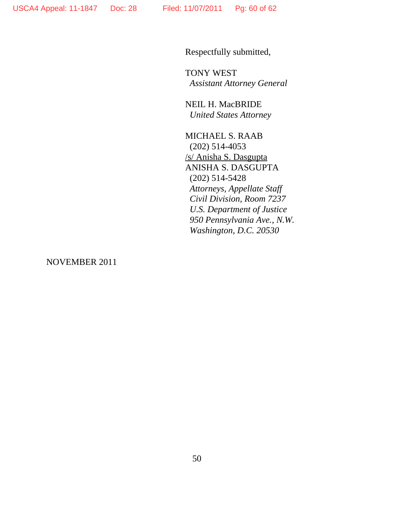Respectfully submitted,

TONY WEST *Assistant Attorney General*

NEIL H. MacBRIDE *United States Attorney*

MICHAEL S. RAAB (202) 514-4053 /s/ Anisha S. Dasgupta ANISHA S. DASGUPTA (202) 514-5428 *Attorneys, Appellate Staff Civil Division, Room 7237 U.S. Department of Justice 950 Pennsylvania Ave., N.W. Washington, D.C. 20530*

NOVEMBER 2011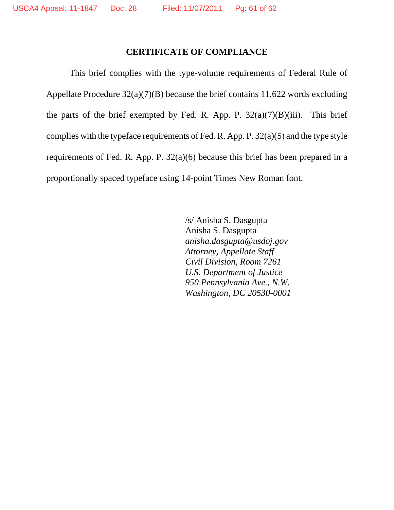## **CERTIFICATE OF COMPLIANCE**

This brief complies with the type-volume requirements of Federal Rule of Appellate Procedure 32(a)(7)(B) because the brief contains 11,622 words excluding the parts of the brief exempted by Fed. R. App. P.  $32(a)(7)(B)(iii)$ . This brief complies with the typeface requirements of Fed. R. App. P. 32(a)(5) and the type style requirements of Fed. R. App. P. 32(a)(6) because this brief has been prepared in a proportionally spaced typeface using 14-point Times New Roman font.

> /s/ Anisha S. Dasgupta Anisha S. Dasgupta *anisha.dasgupta@usdoj.gov Attorney, Appellate Staff Civil Division, Room 7261 U.S. Department of Justice 950 Pennsylvania Ave., N.W. Washington, DC 20530-0001*